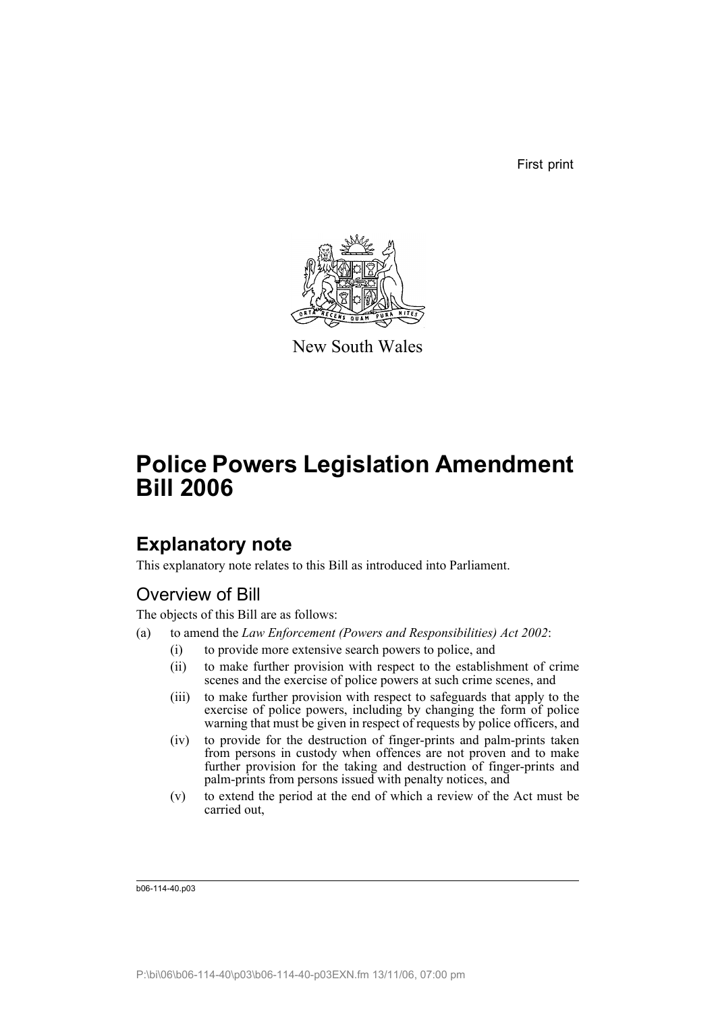First print



New South Wales

# **Police Powers Legislation Amendment Bill 2006**

# **Explanatory note**

This explanatory note relates to this Bill as introduced into Parliament.

# Overview of Bill

The objects of this Bill are as follows:

- (a) to amend the *Law Enforcement (Powers and Responsibilities) Act 2002*:
	- (i) to provide more extensive search powers to police, and
	- (ii) to make further provision with respect to the establishment of crime scenes and the exercise of police powers at such crime scenes, and
	- (iii) to make further provision with respect to safeguards that apply to the exercise of police powers, including by changing the form of police warning that must be given in respect of requests by police officers, and
	- (iv) to provide for the destruction of finger-prints and palm-prints taken from persons in custody when offences are not proven and to make further provision for the taking and destruction of finger-prints and palm-prints from persons issued with penalty notices, and
	- (v) to extend the period at the end of which a review of the Act must be carried out,

b06-114-40.p03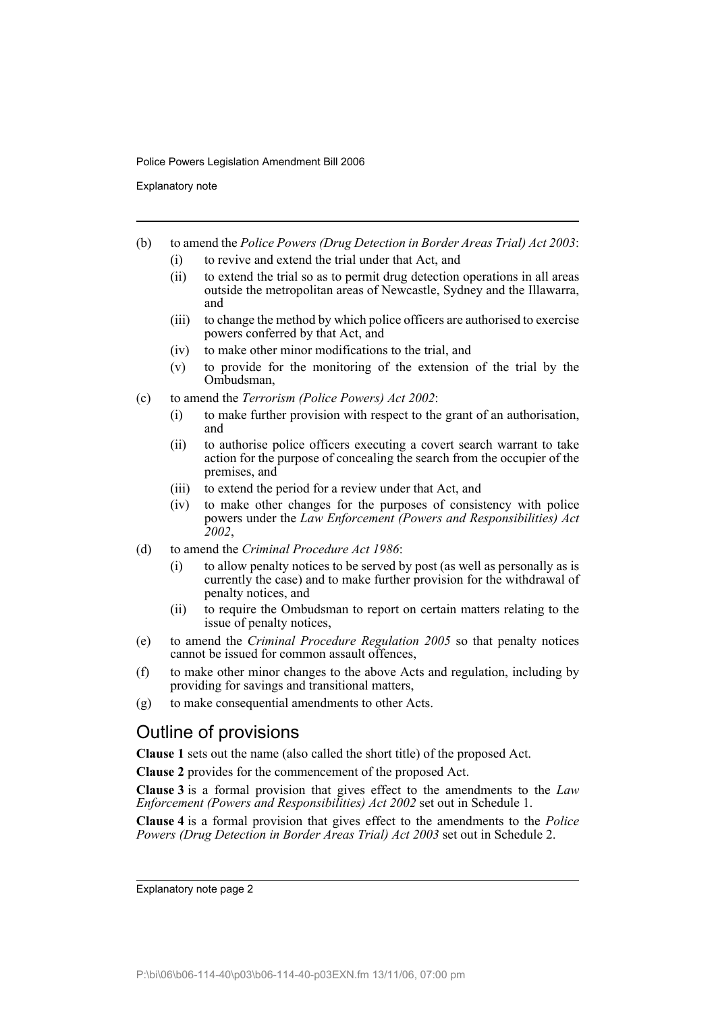Explanatory note

- (b) to amend the *Police Powers (Drug Detection in Border Areas Trial) Act 2003*:
	- (i) to revive and extend the trial under that Act, and
	- (ii) to extend the trial so as to permit drug detection operations in all areas outside the metropolitan areas of Newcastle, Sydney and the Illawarra, and
	- (iii) to change the method by which police officers are authorised to exercise powers conferred by that Act, and
	- (iv) to make other minor modifications to the trial, and
	- (v) to provide for the monitoring of the extension of the trial by the Ombudsman,
- (c) to amend the *Terrorism (Police Powers) Act 2002*:
	- (i) to make further provision with respect to the grant of an authorisation, and
	- (ii) to authorise police officers executing a covert search warrant to take action for the purpose of concealing the search from the occupier of the premises, and
	- (iii) to extend the period for a review under that Act, and
	- (iv) to make other changes for the purposes of consistency with police powers under the *Law Enforcement (Powers and Responsibilities) Act 2002*,
- (d) to amend the *Criminal Procedure Act 1986*:
	- (i) to allow penalty notices to be served by post (as well as personally as is currently the case) and to make further provision for the withdrawal of penalty notices, and
	- (ii) to require the Ombudsman to report on certain matters relating to the issue of penalty notices,
- (e) to amend the *Criminal Procedure Regulation 2005* so that penalty notices cannot be issued for common assault offences,
- (f) to make other minor changes to the above Acts and regulation, including by providing for savings and transitional matters,
- (g) to make consequential amendments to other Acts.

# Outline of provisions

**Clause 1** sets out the name (also called the short title) of the proposed Act.

**Clause 2** provides for the commencement of the proposed Act.

**Clause 3** is a formal provision that gives effect to the amendments to the *Law Enforcement (Powers and Responsibilities) Act 2002* set out in Schedule 1.

**Clause 4** is a formal provision that gives effect to the amendments to the *Police Powers (Drug Detection in Border Areas Trial) Act 2003* set out in Schedule 2.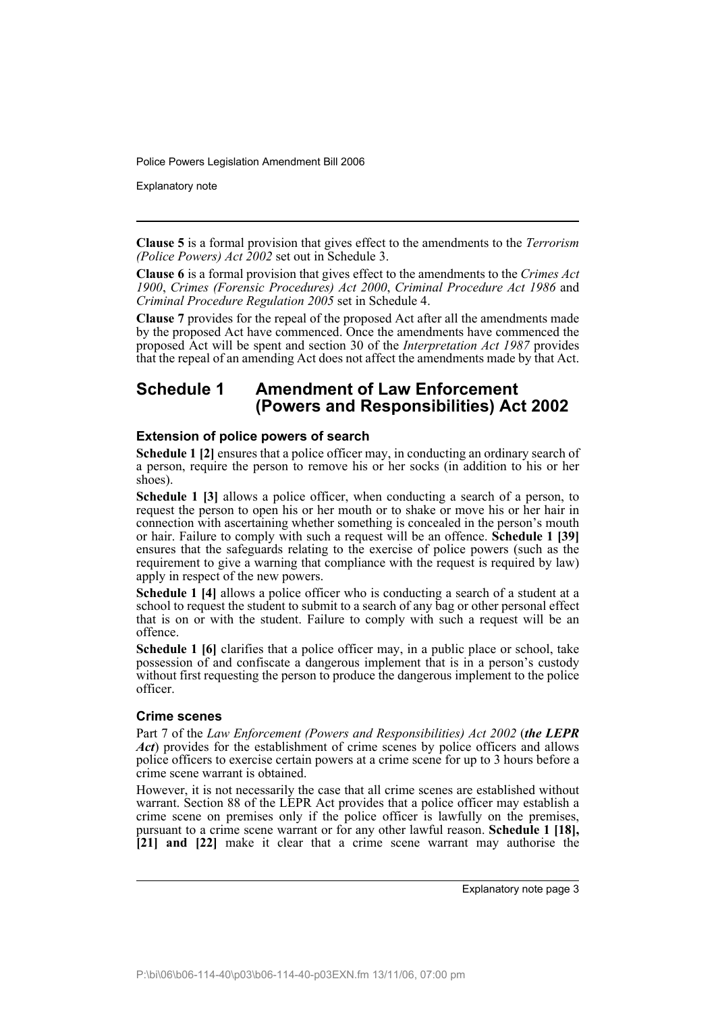Explanatory note

**Clause 5** is a formal provision that gives effect to the amendments to the *Terrorism (Police Powers) Act 2002* set out in Schedule 3.

**Clause 6** is a formal provision that gives effect to the amendments to the *Crimes Act 1900*, *Crimes (Forensic Procedures) Act 2000*, *Criminal Procedure Act 1986* and *Criminal Procedure Regulation 2005* set in Schedule 4.

**Clause 7** provides for the repeal of the proposed Act after all the amendments made by the proposed Act have commenced. Once the amendments have commenced the proposed Act will be spent and section 30 of the *Interpretation Act 1987* provides that the repeal of an amending Act does not affect the amendments made by that Act.

# **Schedule 1 Amendment of Law Enforcement (Powers and Responsibilities) Act 2002**

### **Extension of police powers of search**

**Schedule 1 [2]** ensures that a police officer may, in conducting an ordinary search of a person, require the person to remove his or her socks (in addition to his or her shoes).

**Schedule 1 [3]** allows a police officer, when conducting a search of a person, to request the person to open his or her mouth or to shake or move his or her hair in connection with ascertaining whether something is concealed in the person's mouth or hair. Failure to comply with such a request will be an offence. **Schedule 1 [39]** ensures that the safeguards relating to the exercise of police powers (such as the requirement to give a warning that compliance with the request is required by law) apply in respect of the new powers.

**Schedule 1 [4]** allows a police officer who is conducting a search of a student at a school to request the student to submit to a search of any bag or other personal effect that is on or with the student. Failure to comply with such a request will be an offence.

**Schedule 1 [6]** clarifies that a police officer may, in a public place or school, take possession of and confiscate a dangerous implement that is in a person's custody without first requesting the person to produce the dangerous implement to the police officer.

### **Crime scenes**

Part 7 of the *Law Enforcement (Powers and Responsibilities) Act 2002* (*the LEPR Act*) provides for the establishment of crime scenes by police officers and allows police officers to exercise certain powers at a crime scene for up to 3 hours before a crime scene warrant is obtained.

However, it is not necessarily the case that all crime scenes are established without warrant. Section 88 of the LEPR Act provides that a police officer may establish a crime scene on premises only if the police officer is lawfully on the premises, pursuant to a crime scene warrant or for any other lawful reason. **Schedule 1 [18], [21] and [22]** make it clear that a crime scene warrant may authorise the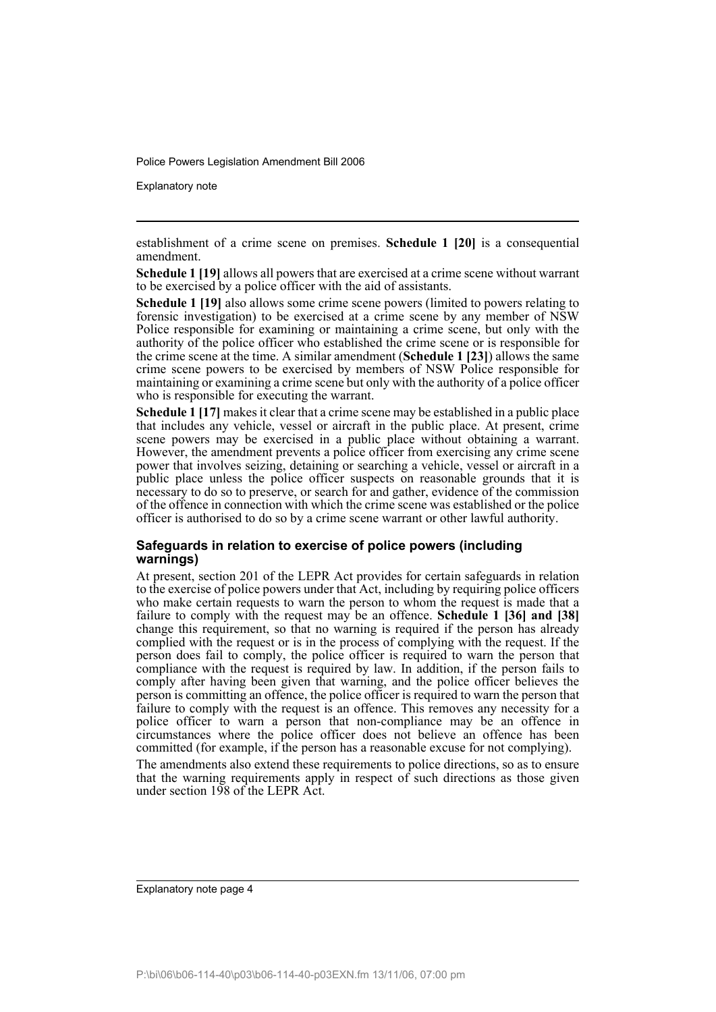Explanatory note

establishment of a crime scene on premises. **Schedule 1 [20]** is a consequential amendment.

**Schedule 1 [19]** allows all powers that are exercised at a crime scene without warrant to be exercised by a police officer with the aid of assistants.

**Schedule 1 [19]** also allows some crime scene powers (limited to powers relating to forensic investigation) to be exercised at a crime scene by any member of NSW Police responsible for examining or maintaining a crime scene, but only with the authority of the police officer who established the crime scene or is responsible for the crime scene at the time. A similar amendment (**Schedule 1 [23]**) allows the same crime scene powers to be exercised by members of NSW Police responsible for maintaining or examining a crime scene but only with the authority of a police officer who is responsible for executing the warrant.

**Schedule 1 [17]** makes it clear that a crime scene may be established in a public place that includes any vehicle, vessel or aircraft in the public place. At present, crime scene powers may be exercised in a public place without obtaining a warrant. However, the amendment prevents a police officer from exercising any crime scene power that involves seizing, detaining or searching a vehicle, vessel or aircraft in a public place unless the police officer suspects on reasonable grounds that it is necessary to do so to preserve, or search for and gather, evidence of the commission of the offence in connection with which the crime scene was established or the police officer is authorised to do so by a crime scene warrant or other lawful authority.

## **Safeguards in relation to exercise of police powers (including warnings)**

At present, section 201 of the LEPR Act provides for certain safeguards in relation to the exercise of police powers under that Act, including by requiring police officers who make certain requests to warn the person to whom the request is made that a failure to comply with the request may be an offence. **Schedule 1 [36] and [38]** change this requirement, so that no warning is required if the person has already complied with the request or is in the process of complying with the request. If the person does fail to comply, the police officer is required to warn the person that compliance with the request is required by law. In addition, if the person fails to comply after having been given that warning, and the police officer believes the person is committing an offence, the police officer is required to warn the person that failure to comply with the request is an offence. This removes any necessity for a police officer to warn a person that non-compliance may be an offence in circumstances where the police officer does not believe an offence has been committed (for example, if the person has a reasonable excuse for not complying).

The amendments also extend these requirements to police directions, so as to ensure that the warning requirements apply in respect of such directions as those given under section 198 of the LEPR Act.

Explanatory note page 4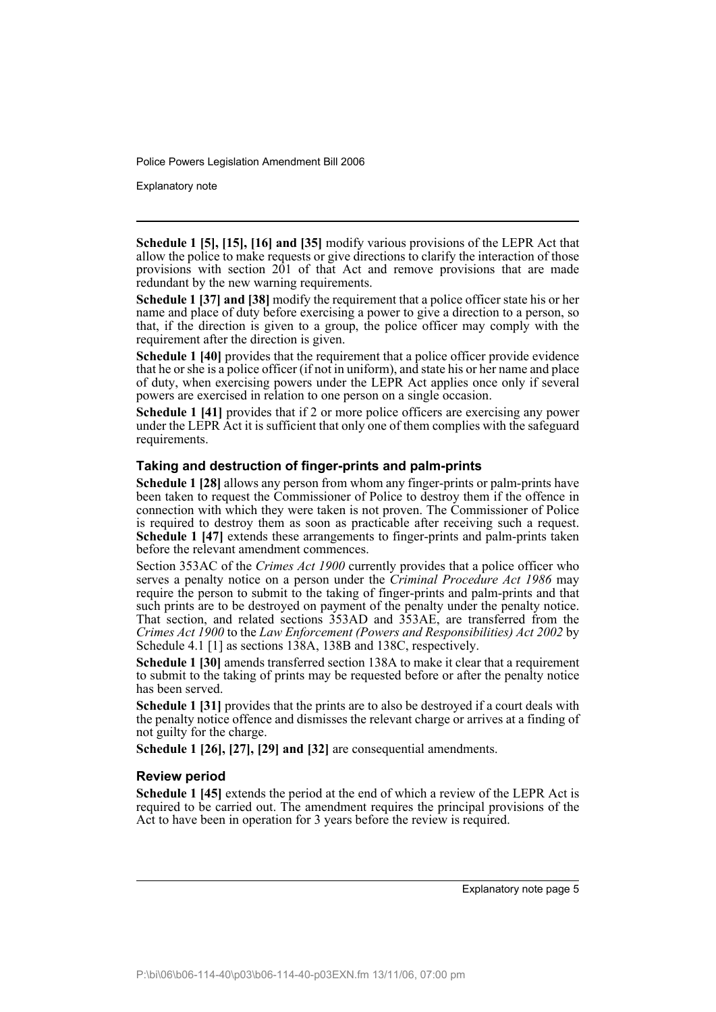Explanatory note

**Schedule 1 [5], [15], [16] and [35]** modify various provisions of the LEPR Act that allow the police to make requests or give directions to clarify the interaction of those provisions with section 201 of that Act and remove provisions that are made redundant by the new warning requirements.

**Schedule 1 [37] and [38]** modify the requirement that a police officer state his or her name and place of duty before exercising a power to give a direction to a person, so that, if the direction is given to a group, the police officer may comply with the requirement after the direction is given.

**Schedule 1 [40]** provides that the requirement that a police officer provide evidence that he or she is a police officer (if not in uniform), and state his or her name and place of duty, when exercising powers under the LEPR Act applies once only if several powers are exercised in relation to one person on a single occasion.

**Schedule 1 [41]** provides that if 2 or more police officers are exercising any power under the LEPR Act it is sufficient that only one of them complies with the safeguard requirements.

## **Taking and destruction of finger-prints and palm-prints**

**Schedule 1 [28]** allows any person from whom any finger-prints or palm-prints have been taken to request the Commissioner of Police to destroy them if the offence in connection with which they were taken is not proven. The Commissioner of Police is required to destroy them as soon as practicable after receiving such a request. **Schedule 1 [47]** extends these arrangements to finger-prints and palm-prints taken before the relevant amendment commences.

Section 353AC of the *Crimes Act 1900* currently provides that a police officer who serves a penalty notice on a person under the *Criminal Procedure Act 1986* may require the person to submit to the taking of finger-prints and palm-prints and that such prints are to be destroyed on payment of the penalty under the penalty notice. That section, and related sections 353AD and 353AE, are transferred from the *Crimes Act 1900* to the *Law Enforcement (Powers and Responsibilities) Act 2002* by Schedule 4.1 [1] as sections 138A, 138B and 138C, respectively.

**Schedule 1 [30]** amends transferred section 138A to make it clear that a requirement to submit to the taking of prints may be requested before or after the penalty notice has been served.

**Schedule 1 [31]** provides that the prints are to also be destroyed if a court deals with the penalty notice offence and dismisses the relevant charge or arrives at a finding of not guilty for the charge.

**Schedule 1 [26], [27], [29] and [32]** are consequential amendments.

### **Review period**

**Schedule 1 [45]** extends the period at the end of which a review of the LEPR Act is required to be carried out. The amendment requires the principal provisions of the Act to have been in operation for 3 years before the review is required.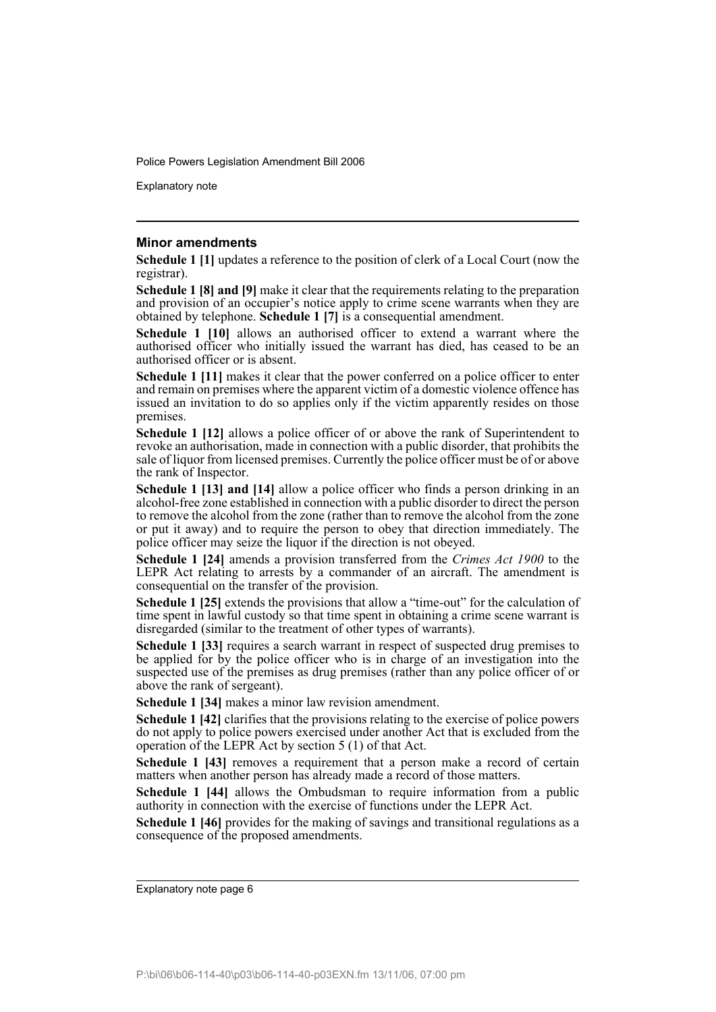Explanatory note

#### **Minor amendments**

**Schedule 1 [1]** updates a reference to the position of clerk of a Local Court (now the registrar).

**Schedule 1 [8] and [9]** make it clear that the requirements relating to the preparation and provision of an occupier's notice apply to crime scene warrants when they are obtained by telephone. **Schedule 1 [7]** is a consequential amendment.

**Schedule 1 [10]** allows an authorised officer to extend a warrant where the authorised officer who initially issued the warrant has died, has ceased to be an authorised officer or is absent.

**Schedule 1 [11]** makes it clear that the power conferred on a police officer to enter and remain on premises where the apparent victim of a domestic violence offence has issued an invitation to do so applies only if the victim apparently resides on those premises.

**Schedule 1 [12]** allows a police officer of or above the rank of Superintendent to revoke an authorisation, made in connection with a public disorder, that prohibits the sale of liquor from licensed premises. Currently the police officer must be of or above the rank of Inspector.

**Schedule 1 [13] and [14]** allow a police officer who finds a person drinking in an alcohol-free zone established in connection with a public disorder to direct the person to remove the alcohol from the zone (rather than to remove the alcohol from the zone or put it away) and to require the person to obey that direction immediately. The police officer may seize the liquor if the direction is not obeyed.

**Schedule 1 [24]** amends a provision transferred from the *Crimes Act 1900* to the LEPR Act relating to arrests by a commander of an aircraft. The amendment is consequential on the transfer of the provision.

**Schedule 1 [25]** extends the provisions that allow a "time-out" for the calculation of time spent in lawful custody so that time spent in obtaining a crime scene warrant is disregarded (similar to the treatment of other types of warrants).

**Schedule 1 [33]** requires a search warrant in respect of suspected drug premises to be applied for by the police officer who is in charge of an investigation into the suspected use of the premises as drug premises (rather than any police officer of or above the rank of sergeant).

**Schedule 1 [34]** makes a minor law revision amendment.

**Schedule 1 [42]** clarifies that the provisions relating to the exercise of police powers do not apply to police powers exercised under another Act that is excluded from the operation of the LEPR Act by section 5 (1) of that Act.

**Schedule 1 [43]** removes a requirement that a person make a record of certain matters when another person has already made a record of those matters.

**Schedule 1 [44]** allows the Ombudsman to require information from a public authority in connection with the exercise of functions under the LEPR Act.

**Schedule 1 [46]** provides for the making of savings and transitional regulations as a consequence of the proposed amendments.

Explanatory note page 6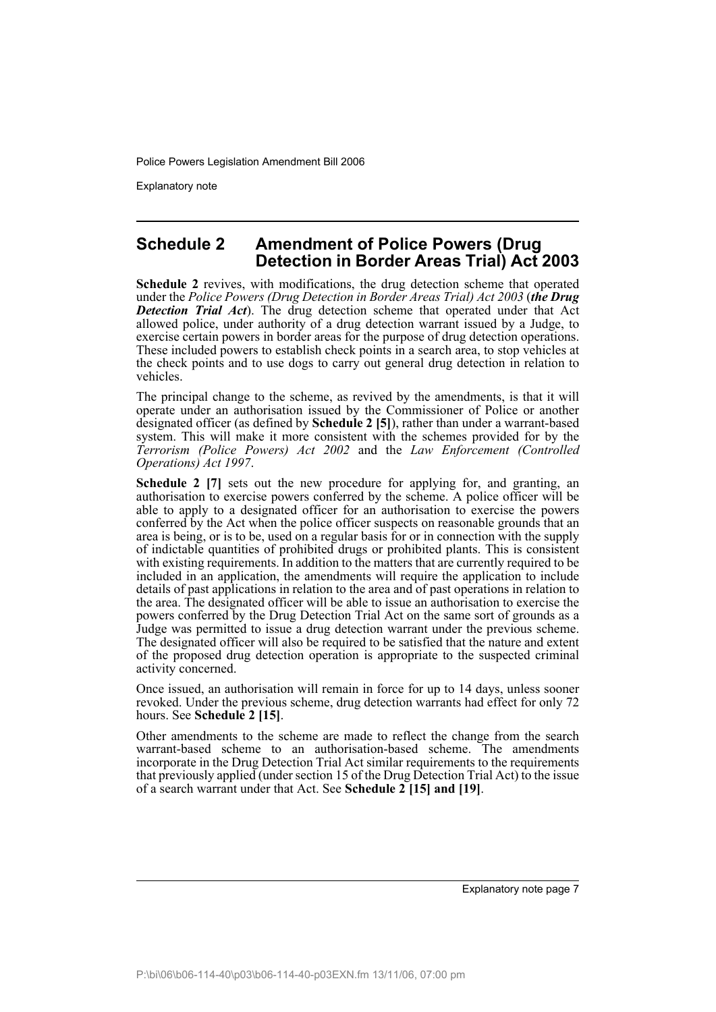Explanatory note

# **Schedule 2 Amendment of Police Powers (Drug Detection in Border Areas Trial) Act 2003**

**Schedule 2** revives, with modifications, the drug detection scheme that operated under the *Police Powers (Drug Detection in Border Areas Trial) Act 2003* (*the Drug* **Detection Trial Act**). The drug detection scheme that operated under that Act allowed police, under authority of a drug detection warrant issued by a Judge, to exercise certain powers in border areas for the purpose of drug detection operations. These included powers to establish check points in a search area, to stop vehicles at the check points and to use dogs to carry out general drug detection in relation to vehicles.

The principal change to the scheme, as revived by the amendments, is that it will operate under an authorisation issued by the Commissioner of Police or another designated officer (as defined by **Schedule 2 [5]**), rather than under a warrant-based system. This will make it more consistent with the schemes provided for by the *Terrorism (Police Powers) Act 2002* and the *Law Enforcement (Controlled Operations) Act 1997*.

**Schedule 2 [7]** sets out the new procedure for applying for, and granting, an authorisation to exercise powers conferred by the scheme. A police officer will be able to apply to a designated officer for an authorisation to exercise the powers conferred by the Act when the police officer suspects on reasonable grounds that an area is being, or is to be, used on a regular basis for or in connection with the supply of indictable quantities of prohibited drugs or prohibited plants. This is consistent with existing requirements. In addition to the matters that are currently required to be included in an application, the amendments will require the application to include details of past applications in relation to the area and of past operations in relation to the area. The designated officer will be able to issue an authorisation to exercise the powers conferred by the Drug Detection Trial Act on the same sort of grounds as a Judge was permitted to issue a drug detection warrant under the previous scheme. The designated officer will also be required to be satisfied that the nature and extent of the proposed drug detection operation is appropriate to the suspected criminal activity concerned.

Once issued, an authorisation will remain in force for up to 14 days, unless sooner revoked. Under the previous scheme, drug detection warrants had effect for only 72 hours. See **Schedule 2 [15]**.

Other amendments to the scheme are made to reflect the change from the search warrant-based scheme to an authorisation-based scheme. The amendments incorporate in the Drug Detection Trial Act similar requirements to the requirements that previously applied (under section 15 of the Drug Detection Trial Act) to the issue of a search warrant under that Act. See **Schedule 2 [15] and [19]**.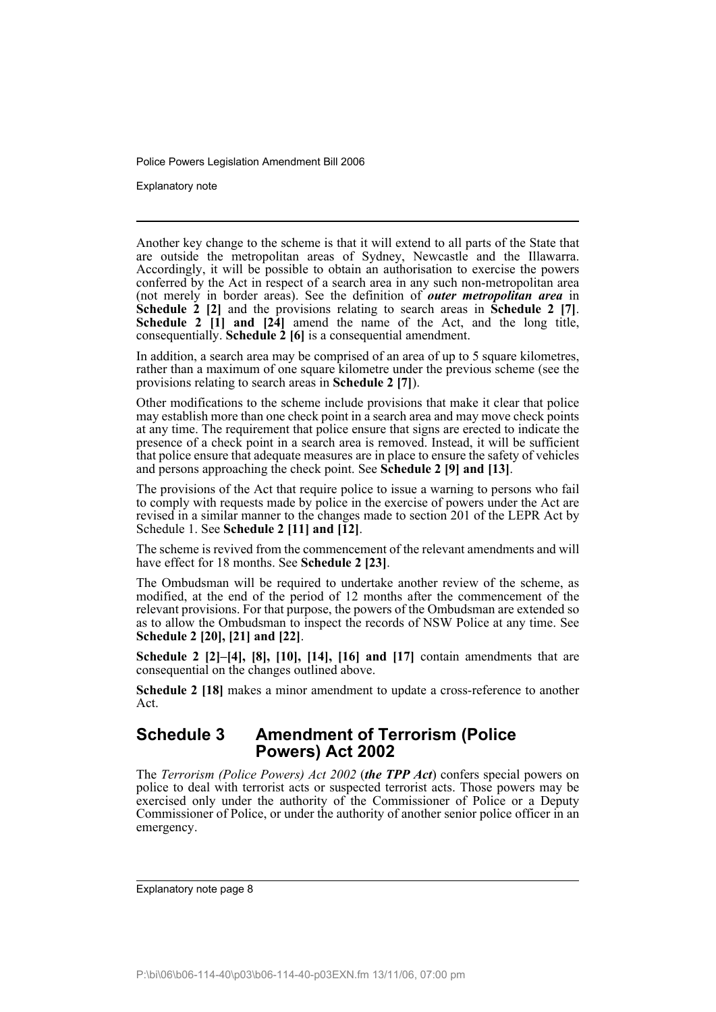Explanatory note

Another key change to the scheme is that it will extend to all parts of the State that are outside the metropolitan areas of Sydney, Newcastle and the Illawarra. Accordingly, it will be possible to obtain an authorisation to exercise the powers conferred by the Act in respect of a search area in any such non-metropolitan area (not merely in border areas). See the definition of *outer metropolitan area* in **Schedule 2** [2] and the provisions relating to search areas in **Schedule 2** [7]. **Schedule 2** [1] and [24] amend the name of the Act, and the long title, consequentially. **Schedule 2 [6]** is a consequential amendment.

In addition, a search area may be comprised of an area of up to 5 square kilometres, rather than a maximum of one square kilometre under the previous scheme (see the provisions relating to search areas in **Schedule 2 [7]**).

Other modifications to the scheme include provisions that make it clear that police may establish more than one check point in a search area and may move check points at any time. The requirement that police ensure that signs are erected to indicate the presence of a check point in a search area is removed. Instead, it will be sufficient that police ensure that adequate measures are in place to ensure the safety of vehicles and persons approaching the check point. See **Schedule 2 [9] and [13]**.

The provisions of the Act that require police to issue a warning to persons who fail to comply with requests made by police in the exercise of powers under the Act are revised in a similar manner to the changes made to section 201 of the LEPR Act by Schedule 1. See **Schedule 2 [11] and [12]**.

The scheme is revived from the commencement of the relevant amendments and will have effect for 18 months. See **Schedule 2 [23]**.

The Ombudsman will be required to undertake another review of the scheme, as modified, at the end of the period of 12 months after the commencement of the relevant provisions. For that purpose, the powers of the Ombudsman are extended so as to allow the Ombudsman to inspect the records of NSW Police at any time. See **Schedule 2 [20], [21] and [22]**.

**Schedule 2 [2]–[4], [8], [10], [14], [16] and [17]** contain amendments that are consequential on the changes outlined above.

**Schedule 2 [18]** makes a minor amendment to update a cross-reference to another Act.

# **Schedule 3 Amendment of Terrorism (Police Powers) Act 2002**

The *Terrorism (Police Powers) Act 2002* (*the TPP Act*) confers special powers on police to deal with terrorist acts or suspected terrorist acts. Those powers may be exercised only under the authority of the Commissioner of Police or a Deputy Commissioner of Police, or under the authority of another senior police officer in an emergency.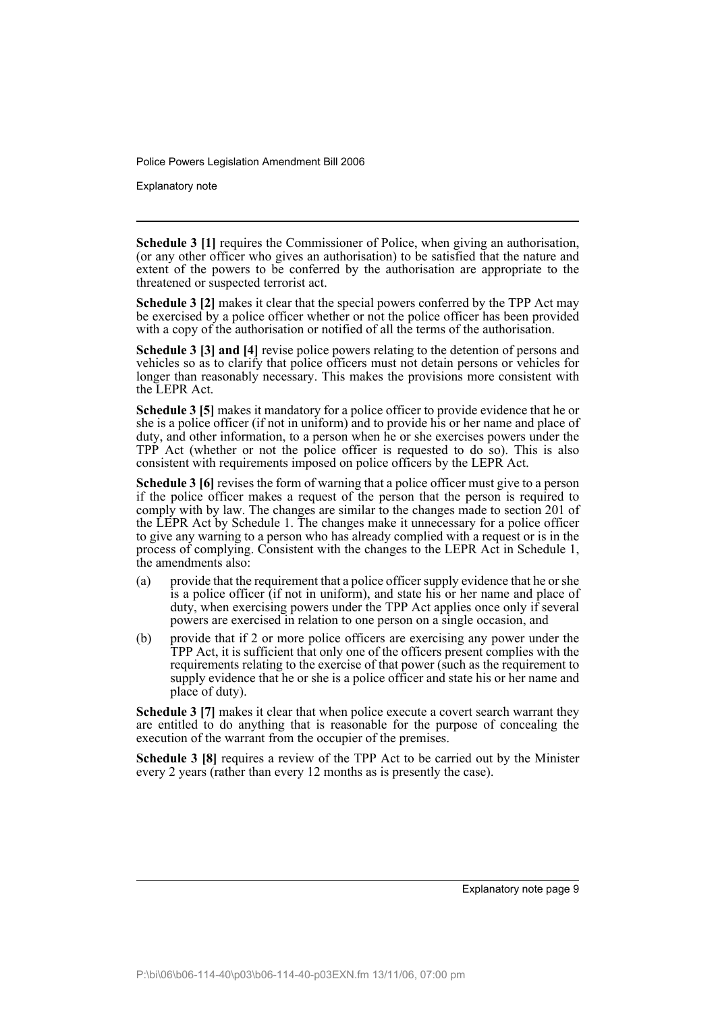Explanatory note

**Schedule 3 [1]** requires the Commissioner of Police, when giving an authorisation, (or any other officer who gives an authorisation) to be satisfied that the nature and extent of the powers to be conferred by the authorisation are appropriate to the threatened or suspected terrorist act.

**Schedule 3 [2]** makes it clear that the special powers conferred by the TPP Act may be exercised by a police officer whether or not the police officer has been provided with a copy of the authorisation or notified of all the terms of the authorisation.

**Schedule 3 [3] and [4]** revise police powers relating to the detention of persons and vehicles so as to clarify that police officers must not detain persons or vehicles for longer than reasonably necessary. This makes the provisions more consistent with the LEPR Act.

**Schedule 3 [5]** makes it mandatory for a police officer to provide evidence that he or she is a police officer (if not in uniform) and to provide his or her name and place of duty, and other information, to a person when he or she exercises powers under the TPP Act (whether or not the police officer is requested to do so). This is also consistent with requirements imposed on police officers by the LEPR Act.

**Schedule 3 [6]** revises the form of warning that a police officer must give to a person if the police officer makes a request of the person that the person is required to comply with by law. The changes are similar to the changes made to section 201 of the LEPR Act by Schedule 1. The changes make it unnecessary for a police officer to give any warning to a person who has already complied with a request or is in the process of complying. Consistent with the changes to the LEPR Act in Schedule 1, the amendments also:

- (a) provide that the requirement that a police officer supply evidence that he or she is a police officer (if not in uniform), and state his or her name and place of duty, when exercising powers under the TPP Act applies once only if several powers are exercised in relation to one person on a single occasion, and
- (b) provide that if 2 or more police officers are exercising any power under the TPP Act, it is sufficient that only one of the officers present complies with the requirements relating to the exercise of that power (such as the requirement to supply evidence that he or she is a police officer and state his or her name and place of duty).

**Schedule 3 [7]** makes it clear that when police execute a covert search warrant they are entitled to do anything that is reasonable for the purpose of concealing the execution of the warrant from the occupier of the premises.

**Schedule 3 [8]** requires a review of the TPP Act to be carried out by the Minister every 2 years (rather than every 12 months as is presently the case).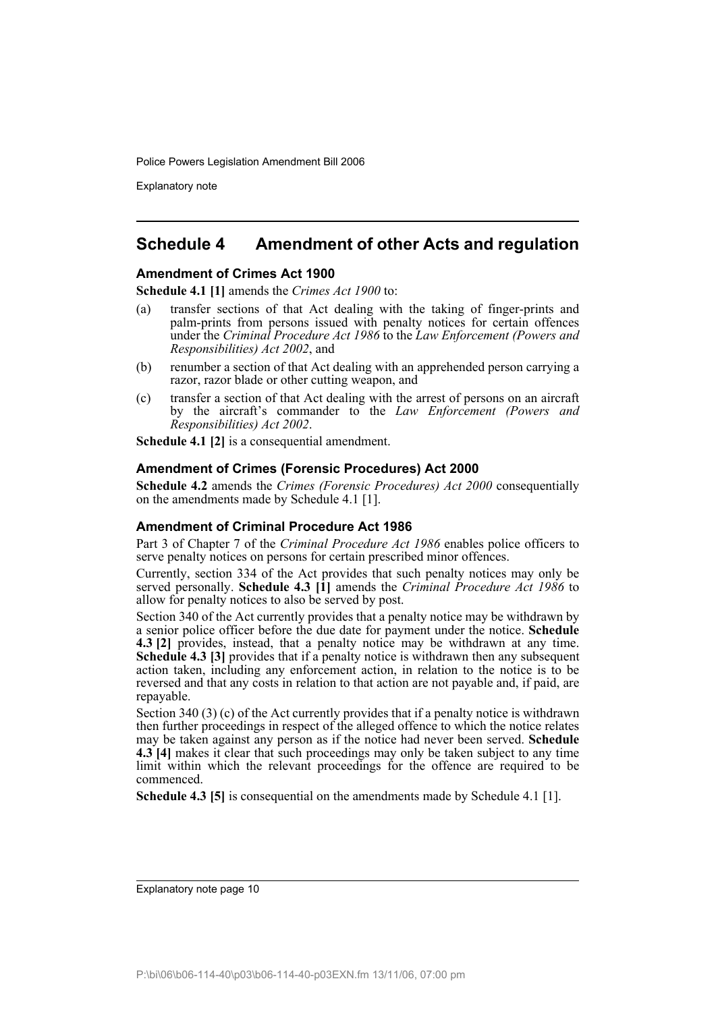Explanatory note

# **Schedule 4 Amendment of other Acts and regulation**

## **Amendment of Crimes Act 1900**

**Schedule 4.1 [1]** amends the *Crimes Act 1900* to:

- (a) transfer sections of that Act dealing with the taking of finger-prints and palm-prints from persons issued with penalty notices for certain offences under the *Criminal Procedure Act 1986* to the *Law Enforcement (Powers and Responsibilities) Act 2002*, and
- (b) renumber a section of that Act dealing with an apprehended person carrying a razor, razor blade or other cutting weapon, and
- (c) transfer a section of that Act dealing with the arrest of persons on an aircraft by the aircraft's commander to the *Law Enforcement (Powers and Responsibilities) Act 2002*.

**Schedule 4.1 [2]** is a consequential amendment.

## **Amendment of Crimes (Forensic Procedures) Act 2000**

**Schedule 4.2** amends the *Crimes (Forensic Procedures) Act 2000* consequentially on the amendments made by Schedule 4.1 [1].

## **Amendment of Criminal Procedure Act 1986**

Part 3 of Chapter 7 of the *Criminal Procedure Act 1986* enables police officers to serve penalty notices on persons for certain prescribed minor offences.

Currently, section 334 of the Act provides that such penalty notices may only be served personally. **Schedule 4.3 [1]** amends the *Criminal Procedure Act 1986* to allow for penalty notices to also be served by post.

Section 340 of the Act currently provides that a penalty notice may be withdrawn by a senior police officer before the due date for payment under the notice. **Schedule 4.3 [2]** provides, instead, that a penalty notice may be withdrawn at any time. **Schedule 4.3 [3]** provides that if a penalty notice is withdrawn then any subsequent action taken, including any enforcement action, in relation to the notice is to be reversed and that any costs in relation to that action are not payable and, if paid, are repayable.

Section 340 (3) (c) of the Act currently provides that if a penalty notice is withdrawn then further proceedings in respect of the alleged offence to which the notice relates may be taken against any person as if the notice had never been served. **Schedule 4.3 [4]** makes it clear that such proceedings may only be taken subject to any time limit within which the relevant proceedings for the offence are required to be commenced.

**Schedule 4.3 [5]** is consequential on the amendments made by Schedule 4.1 [1].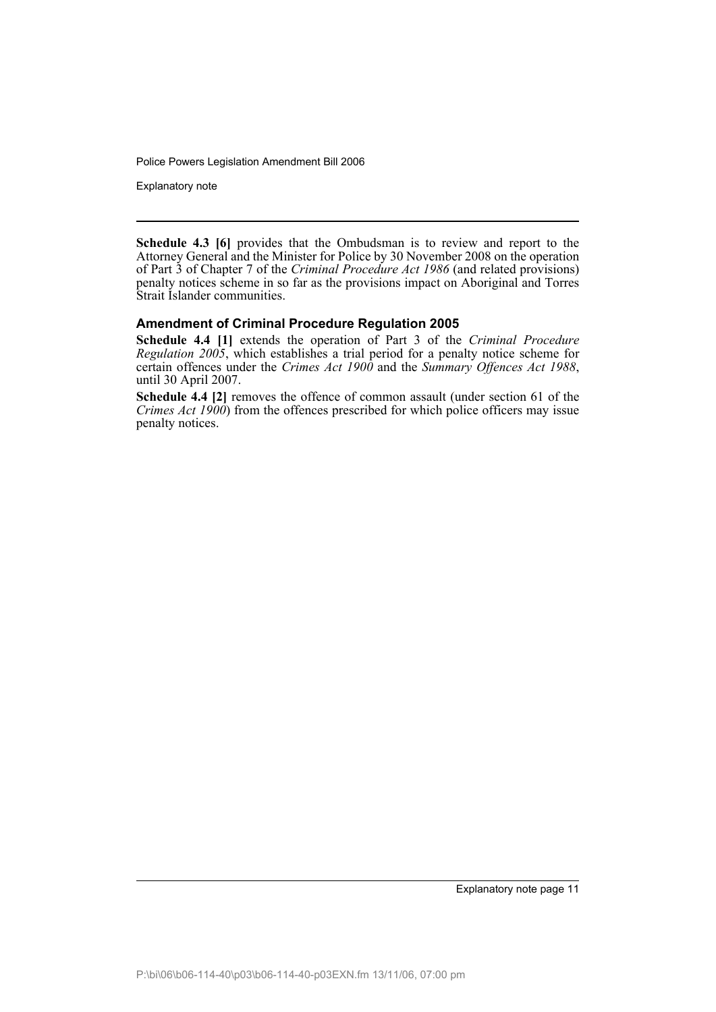Explanatory note

**Schedule 4.3 [6]** provides that the Ombudsman is to review and report to the Attorney General and the Minister for Police by 30 November 2008 on the operation of Part 3 of Chapter 7 of the *Criminal Procedure Act 1986* (and related provisions) penalty notices scheme in so far as the provisions impact on Aboriginal and Torres Strait Islander communities.

## **Amendment of Criminal Procedure Regulation 2005**

**Schedule 4.4 [1]** extends the operation of Part 3 of the *Criminal Procedure Regulation 2005*, which establishes a trial period for a penalty notice scheme for certain offences under the *Crimes Act 1900* and the *Summary Offences Act 1988*, until 30 April 2007.

**Schedule 4.4 [2]** removes the offence of common assault (under section 61 of the *Crimes Act 1900*) from the offences prescribed for which police officers may issue penalty notices.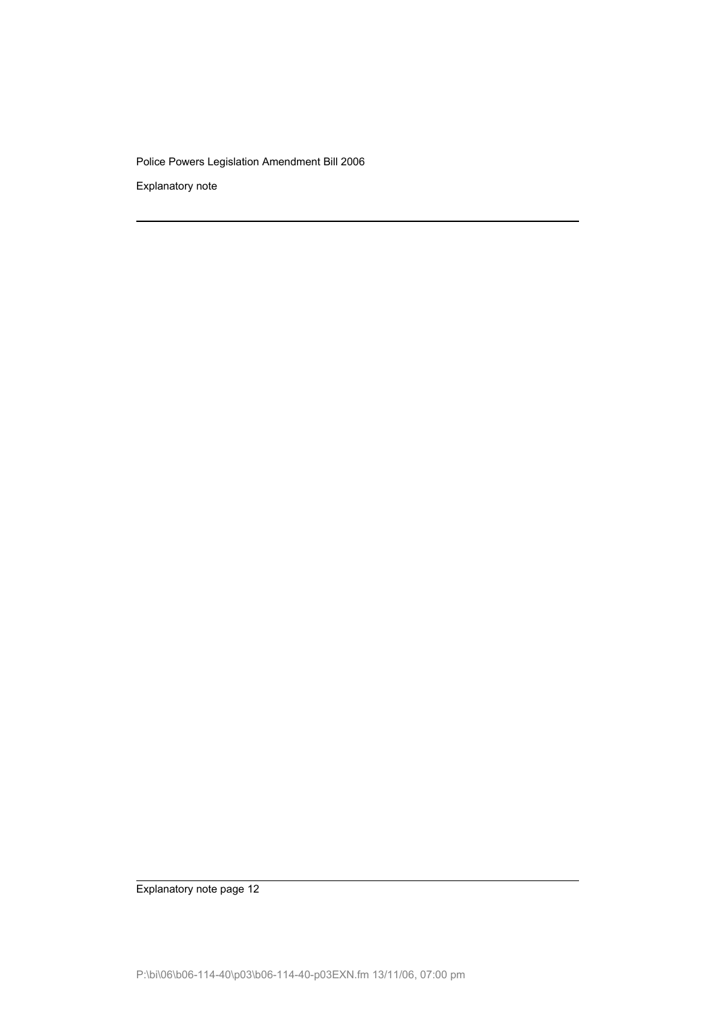Explanatory note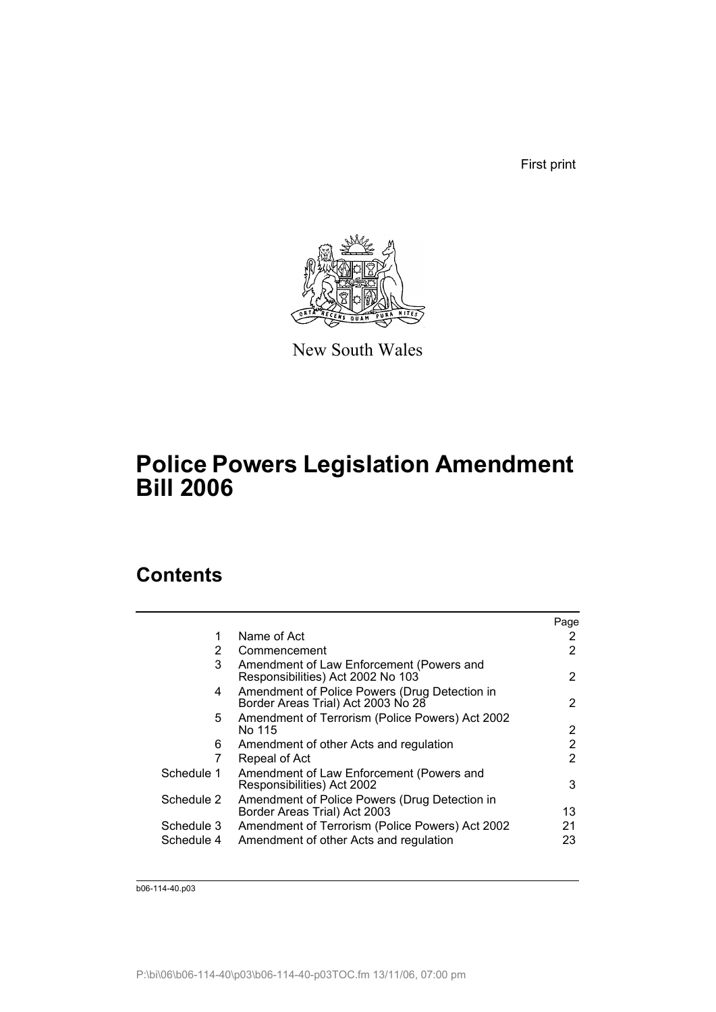First print



New South Wales

# **Police Powers Legislation Amendment Bill 2006**

# **Contents**

|                       |                                                                                     | Page |
|-----------------------|-------------------------------------------------------------------------------------|------|
| 1                     | Name of Act                                                                         | 2    |
| $\mathbf{2}^{\prime}$ | Commencement                                                                        | 2    |
| 3                     | Amendment of Law Enforcement (Powers and<br>Responsibilities) Act 2002 No 103       | 2    |
| 4                     | Amendment of Police Powers (Drug Detection in<br>Border Areas Trial) Act 2003 No 28 | 2    |
| 5.                    | Amendment of Terrorism (Police Powers) Act 2002<br>No 115                           | 2    |
| 6                     | Amendment of other Acts and regulation                                              | 2    |
|                       | Repeal of Act                                                                       | 2    |
| Schedule 1            | Amendment of Law Enforcement (Powers and<br>Responsibilities) Act 2002              | 3    |
| Schedule 2            | Amendment of Police Powers (Drug Detection in<br>Border Areas Trial) Act 2003       | 13   |
| Schedule 3            | Amendment of Terrorism (Police Powers) Act 2002                                     | 21   |
| Schedule 4            | Amendment of other Acts and regulation                                              | 23   |
|                       |                                                                                     |      |

b06-114-40.p03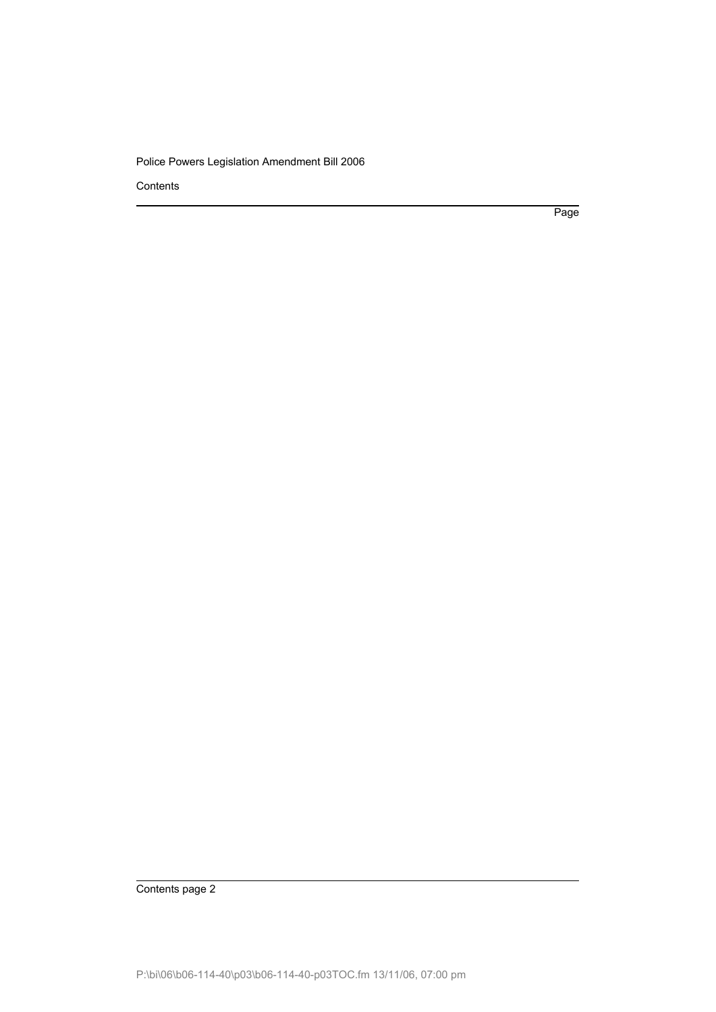Contents

Page

Contents page 2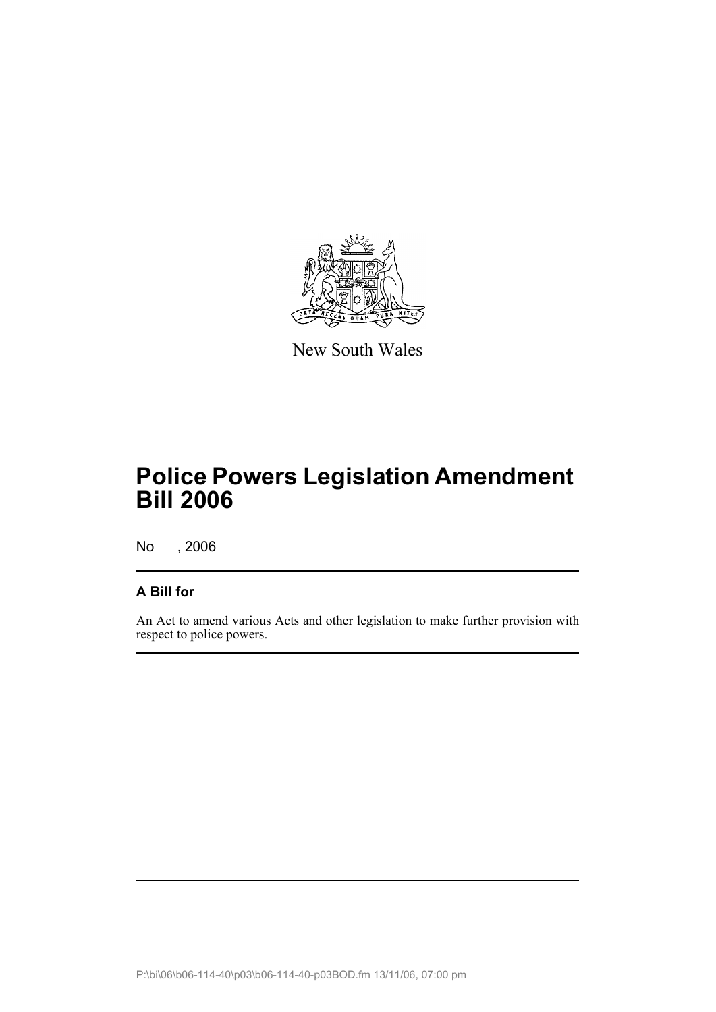

New South Wales

# **Police Powers Legislation Amendment Bill 2006**

No , 2006

# **A Bill for**

An Act to amend various Acts and other legislation to make further provision with respect to police powers.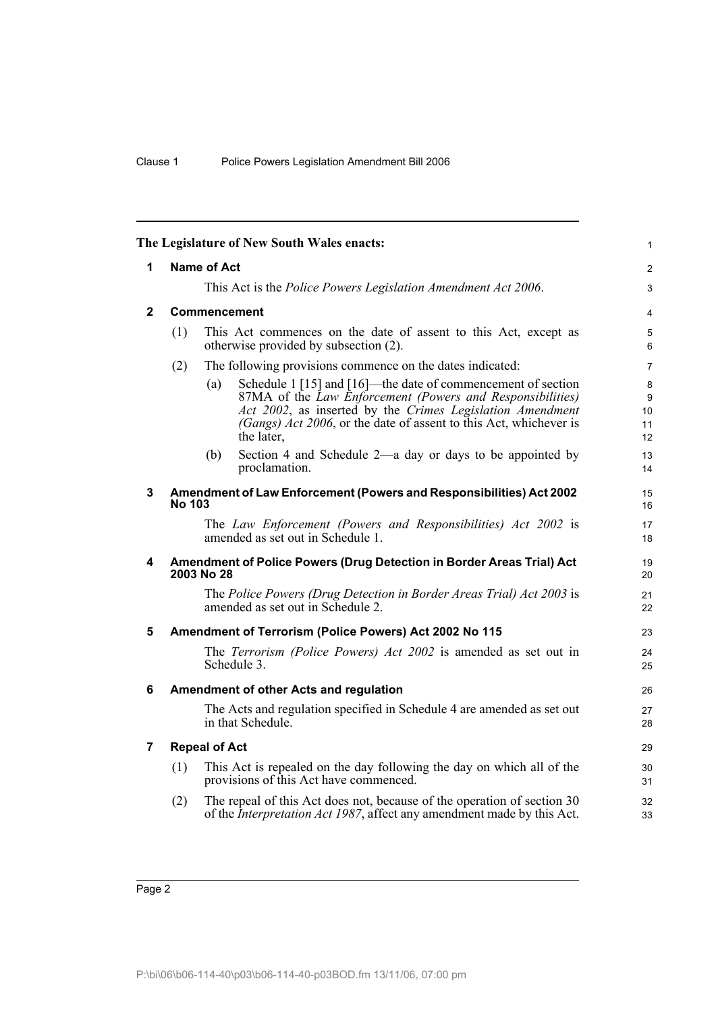<span id="page-15-6"></span><span id="page-15-5"></span><span id="page-15-4"></span><span id="page-15-3"></span><span id="page-15-2"></span><span id="page-15-1"></span><span id="page-15-0"></span>

|              |               | The Legislature of New South Wales enacts:                                                                                                                                                                                                                                       |  |
|--------------|---------------|----------------------------------------------------------------------------------------------------------------------------------------------------------------------------------------------------------------------------------------------------------------------------------|--|
| 1            |               | <b>Name of Act</b>                                                                                                                                                                                                                                                               |  |
|              |               | This Act is the <i>Police Powers Legislation Amendment Act 2006</i> .                                                                                                                                                                                                            |  |
| $\mathbf{2}$ |               | <b>Commencement</b>                                                                                                                                                                                                                                                              |  |
|              | (1)           | This Act commences on the date of assent to this Act, except as<br>otherwise provided by subsection (2).                                                                                                                                                                         |  |
|              | (2)           | The following provisions commence on the dates indicated:                                                                                                                                                                                                                        |  |
|              |               | Schedule 1 [15] and [16]—the date of commencement of section<br>(a)<br>87MA of the Law Enforcement (Powers and Responsibilities)<br>Act 2002, as inserted by the Crimes Legislation Amendment<br>(Gangs) Act 2006, or the date of assent to this Act, whichever is<br>the later, |  |
|              |               | Section 4 and Schedule 2—a day or days to be appointed by<br>(b)<br>proclamation.                                                                                                                                                                                                |  |
| 3            | <b>No 103</b> | Amendment of Law Enforcement (Powers and Responsibilities) Act 2002                                                                                                                                                                                                              |  |
|              |               | The Law Enforcement (Powers and Responsibilities) Act 2002 is<br>amended as set out in Schedule 1.                                                                                                                                                                               |  |
| 4            |               | Amendment of Police Powers (Drug Detection in Border Areas Trial) Act<br>2003 No 28                                                                                                                                                                                              |  |
|              |               | The Police Powers (Drug Detection in Border Areas Trial) Act 2003 is<br>amended as set out in Schedule 2.                                                                                                                                                                        |  |
| 5            |               | Amendment of Terrorism (Police Powers) Act 2002 No 115                                                                                                                                                                                                                           |  |
|              |               | The Terrorism (Police Powers) Act 2002 is amended as set out in<br>Schedule 3.                                                                                                                                                                                                   |  |
| 6            |               | Amendment of other Acts and regulation                                                                                                                                                                                                                                           |  |
|              |               | The Acts and regulation specified in Schedule 4 are amended as set out<br>in that Schedule.                                                                                                                                                                                      |  |
| 7            |               | <b>Repeal of Act</b>                                                                                                                                                                                                                                                             |  |
|              | (1)           | This Act is repealed on the day following the day on which all of the<br>provisions of this Act have commenced.                                                                                                                                                                  |  |
|              | (2)           | The repeal of this Act does not, because of the operation of section 30<br>of the <i>Interpretation Act 1987</i> , affect any amendment made by this Act.                                                                                                                        |  |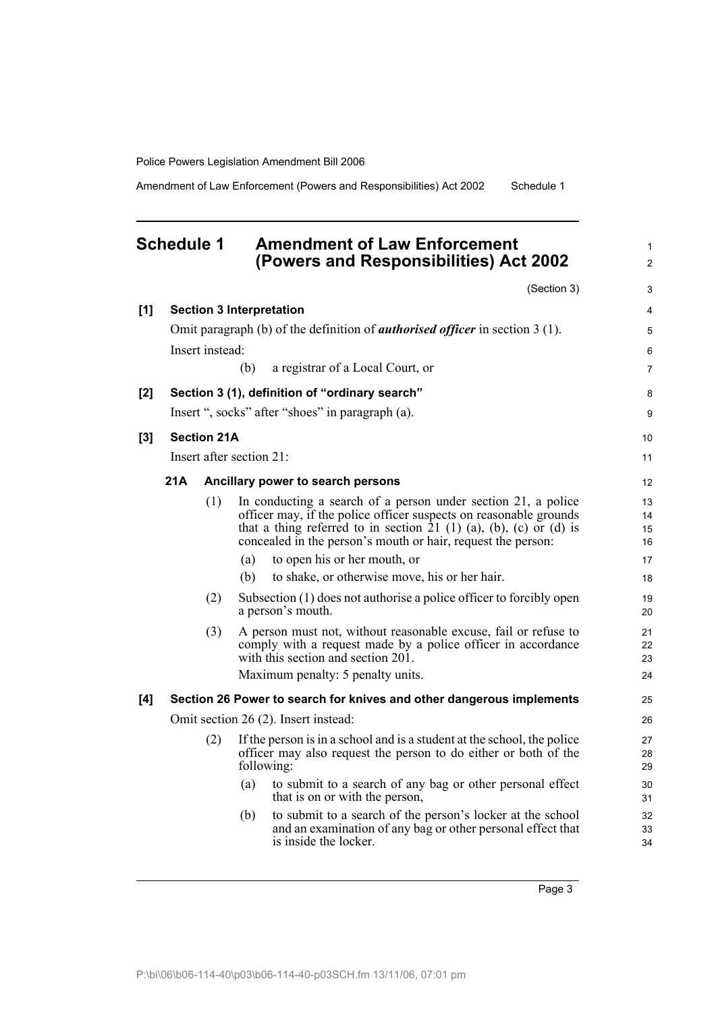Amendment of Law Enforcement (Powers and Responsibilities) Act 2002 Schedule 1

# <span id="page-16-0"></span>**Schedule 1 Amendment of Law Enforcement (Powers and Responsibilities) Act 2002**

|     |      |                          |     | (Section 3)                                                                                        | 3        |
|-----|------|--------------------------|-----|----------------------------------------------------------------------------------------------------|----------|
| [1] |      |                          |     | <b>Section 3 Interpretation</b>                                                                    | 4        |
|     |      |                          |     | Omit paragraph (b) of the definition of <i>authorised officer</i> in section 3 (1).                | 5        |
|     |      | Insert instead:          |     |                                                                                                    | 6        |
|     |      |                          | (b) | a registrar of a Local Court, or                                                                   | 7        |
| [2] |      |                          |     | Section 3 (1), definition of "ordinary search"                                                     | 8        |
|     |      |                          |     | Insert ", socks" after "shoes" in paragraph (a).                                                   | 9        |
| [3] |      | <b>Section 21A</b>       |     |                                                                                                    | 10       |
|     |      | Insert after section 21: |     |                                                                                                    | 11       |
|     | 21 A |                          |     | Ancillary power to search persons                                                                  | 12       |
|     |      |                          |     |                                                                                                    |          |
|     |      | (1)                      |     | In conducting a search of a person under section 21, a police                                      | 13       |
|     |      |                          |     | officer may, if the police officer suspects on reasonable grounds                                  | 14       |
|     |      |                          |     | that a thing referred to in section $21$ (1) (a), (b), (c) or (d) is                               | 15       |
|     |      |                          |     | concealed in the person's mouth or hair, request the person:                                       | 16       |
|     |      |                          | (a) | to open his or her mouth, or                                                                       | 17       |
|     |      |                          | (b) | to shake, or otherwise move, his or her hair.                                                      | 18       |
|     |      | (2)                      |     | Subsection (1) does not authorise a police officer to forcibly open<br>a person's mouth.           | 19<br>20 |
|     |      | (3)                      |     | A person must not, without reasonable excuse, fail or refuse to                                    | 21       |
|     |      |                          |     | comply with a request made by a police officer in accordance<br>with this section and section 201. | 22       |
|     |      |                          |     |                                                                                                    | 23       |
|     |      |                          |     | Maximum penalty: 5 penalty units.                                                                  | 24       |
| [4] |      |                          |     | Section 26 Power to search for knives and other dangerous implements                               | 25       |
|     |      |                          |     | Omit section 26 (2). Insert instead:                                                               | 26       |
|     |      | (2)                      |     | If the person is in a school and is a student at the school, the police                            | 27       |
|     |      |                          |     | officer may also request the person to do either or both of the<br>following:                      | 28       |
|     |      |                          |     |                                                                                                    | 29       |
|     |      |                          | (a) | to submit to a search of any bag or other personal effect<br>that is on or with the person,        | 30<br>31 |
|     |      |                          | (b) | to submit to a search of the person's locker at the school                                         | 32       |
|     |      |                          |     | and an examination of any bag or other personal effect that<br>is inside the locker.               | 33<br>34 |

Page 3

1 2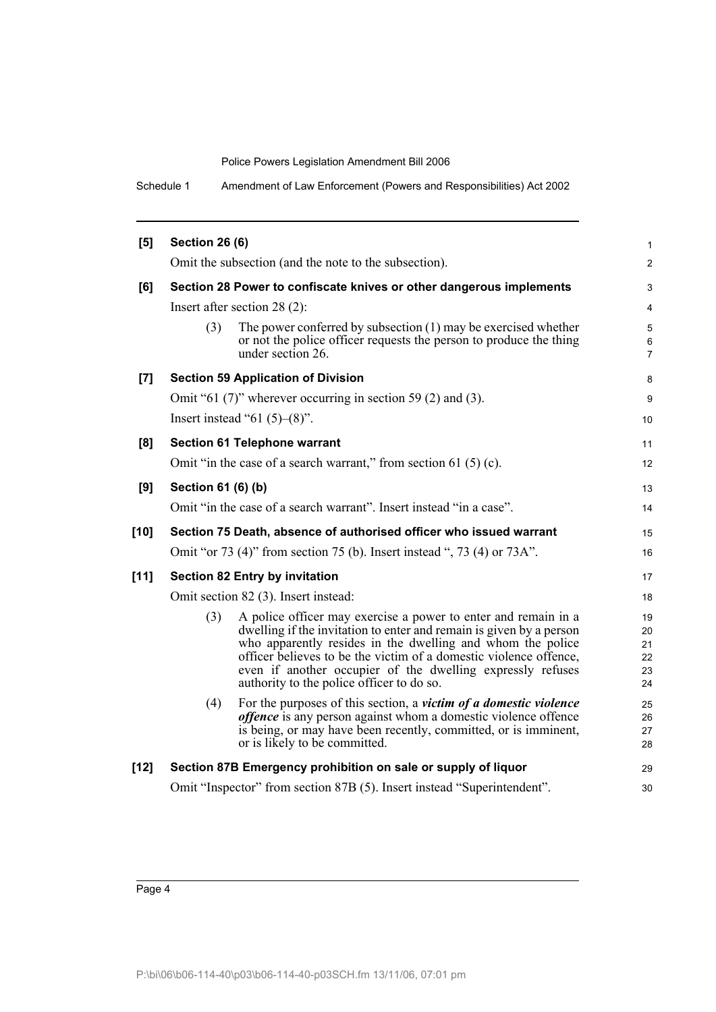Schedule 1 Amendment of Law Enforcement (Powers and Responsibilities) Act 2002

| [5]                | <b>Section 26 (6)</b>                                                                                                                                                                                                                                                                                                                                                                      | $\mathbf{1}$                     |  |  |  |
|--------------------|--------------------------------------------------------------------------------------------------------------------------------------------------------------------------------------------------------------------------------------------------------------------------------------------------------------------------------------------------------------------------------------------|----------------------------------|--|--|--|
|                    | Omit the subsection (and the note to the subsection).                                                                                                                                                                                                                                                                                                                                      | $\overline{2}$                   |  |  |  |
| [6]                | Section 28 Power to confiscate knives or other dangerous implements                                                                                                                                                                                                                                                                                                                        | 3                                |  |  |  |
|                    | Insert after section $28(2)$ :                                                                                                                                                                                                                                                                                                                                                             | 4                                |  |  |  |
|                    | The power conferred by subsection $(1)$ may be exercised whether<br>(3)<br>or not the police officer requests the person to produce the thing<br>under section 26.                                                                                                                                                                                                                         | $\mathbf 5$<br>6<br>7            |  |  |  |
| $\left[ 7 \right]$ | <b>Section 59 Application of Division</b>                                                                                                                                                                                                                                                                                                                                                  | 8                                |  |  |  |
|                    | Omit "61 (7)" wherever occurring in section 59 (2) and (3).                                                                                                                                                                                                                                                                                                                                | 9                                |  |  |  |
|                    | Insert instead "61 $(5)$ – $(8)$ ".                                                                                                                                                                                                                                                                                                                                                        | 10                               |  |  |  |
| [8]                | <b>Section 61 Telephone warrant</b>                                                                                                                                                                                                                                                                                                                                                        | 11                               |  |  |  |
|                    | Omit "in the case of a search warrant," from section 61 (5) (c).                                                                                                                                                                                                                                                                                                                           |                                  |  |  |  |
| [9]                | Section 61 (6) (b)                                                                                                                                                                                                                                                                                                                                                                         | 13                               |  |  |  |
|                    | Omit "in the case of a search warrant". Insert instead "in a case".                                                                                                                                                                                                                                                                                                                        |                                  |  |  |  |
| $[10]$             | Section 75 Death, absence of authorised officer who issued warrant                                                                                                                                                                                                                                                                                                                         | 15                               |  |  |  |
|                    | Omit "or 73 (4)" from section 75 (b). Insert instead ", 73 (4) or 73A".                                                                                                                                                                                                                                                                                                                    | 16                               |  |  |  |
| $[11]$             | <b>Section 82 Entry by invitation</b>                                                                                                                                                                                                                                                                                                                                                      | 17                               |  |  |  |
|                    | Omit section 82 (3). Insert instead:                                                                                                                                                                                                                                                                                                                                                       | 18                               |  |  |  |
|                    | (3)<br>A police officer may exercise a power to enter and remain in a<br>dwelling if the invitation to enter and remain is given by a person<br>who apparently resides in the dwelling and whom the police<br>officer believes to be the victim of a domestic violence offence,<br>even if another occupier of the dwelling expressly refuses<br>authority to the police officer to do so. | 19<br>20<br>21<br>22<br>23<br>24 |  |  |  |
|                    | For the purposes of this section, a victim of a domestic violence<br>(4)<br><i>offence</i> is any person against whom a domestic violence offence<br>is being, or may have been recently, committed, or is imminent,<br>or is likely to be committed.                                                                                                                                      | 25<br>26<br>27<br>28             |  |  |  |
| $[12]$             | Section 87B Emergency prohibition on sale or supply of liquor                                                                                                                                                                                                                                                                                                                              | 29                               |  |  |  |
|                    | Omit "Inspector" from section 87B (5). Insert instead "Superintendent".                                                                                                                                                                                                                                                                                                                    | 30                               |  |  |  |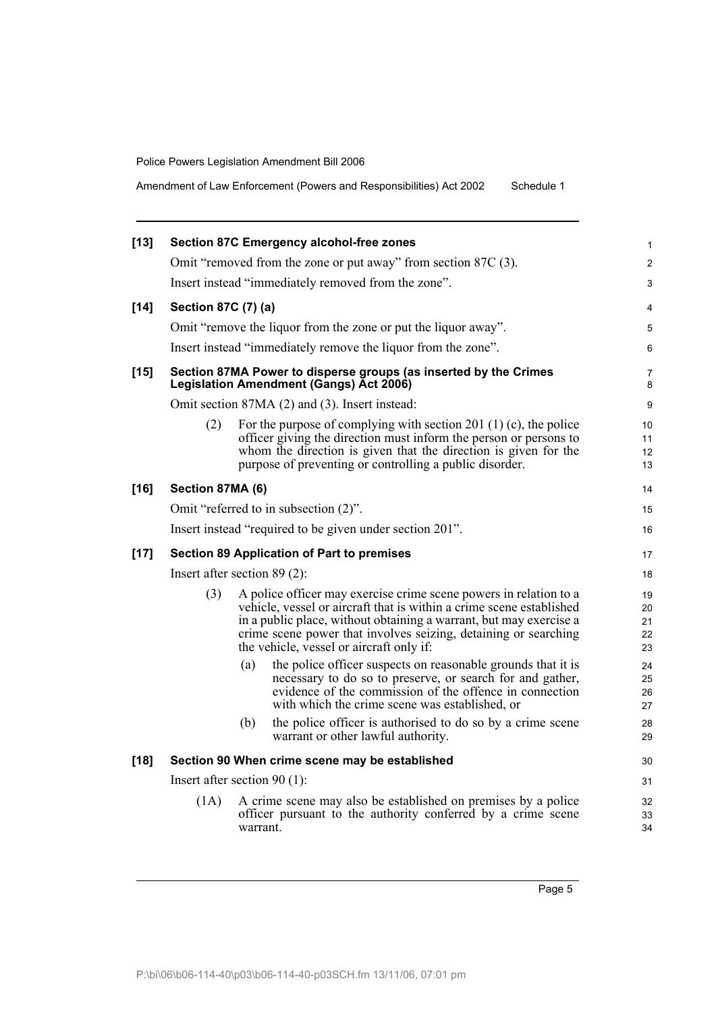Amendment of Law Enforcement (Powers and Responsibilities) Act 2002 Schedule 1

| $[13]$ |                                                   | <b>Section 87C Emergency alcohol-free zones</b>                                                                                                                                                                                                                                                                                | 1                          |  |  |
|--------|---------------------------------------------------|--------------------------------------------------------------------------------------------------------------------------------------------------------------------------------------------------------------------------------------------------------------------------------------------------------------------------------|----------------------------|--|--|
|        |                                                   | Omit "removed from the zone or put away" from section 87C (3).                                                                                                                                                                                                                                                                 | $\overline{2}$             |  |  |
|        |                                                   | Insert instead "immediately removed from the zone".                                                                                                                                                                                                                                                                            | 3                          |  |  |
| $[14]$ | Section 87C (7) (a)                               |                                                                                                                                                                                                                                                                                                                                | 4                          |  |  |
|        |                                                   | Omit "remove the liquor from the zone or put the liquor away".                                                                                                                                                                                                                                                                 | 5                          |  |  |
|        |                                                   | Insert instead "immediately remove the liquor from the zone".                                                                                                                                                                                                                                                                  | 6                          |  |  |
| $[15]$ |                                                   | Section 87MA Power to disperse groups (as inserted by the Crimes<br>Legislation Amendment (Gangs) Act 2006)                                                                                                                                                                                                                    | 7<br>8                     |  |  |
|        |                                                   | Omit section 87MA (2) and (3). Insert instead:                                                                                                                                                                                                                                                                                 | 9                          |  |  |
|        | (2)                                               | For the purpose of complying with section 201 $(1)$ (c), the police<br>officer giving the direction must inform the person or persons to<br>whom the direction is given that the direction is given for the<br>purpose of preventing or controlling a public disorder.                                                         | 10<br>11<br>12<br>13       |  |  |
| $[16]$ | Section 87MA (6)                                  |                                                                                                                                                                                                                                                                                                                                | 14                         |  |  |
|        |                                                   | Omit "referred to in subsection (2)".                                                                                                                                                                                                                                                                                          | 15                         |  |  |
|        |                                                   | Insert instead "required to be given under section 201".                                                                                                                                                                                                                                                                       | 16                         |  |  |
| $[17]$ | <b>Section 89 Application of Part to premises</b> |                                                                                                                                                                                                                                                                                                                                |                            |  |  |
|        |                                                   | Insert after section $89(2)$ :                                                                                                                                                                                                                                                                                                 | 18                         |  |  |
|        | (3)                                               | A police officer may exercise crime scene powers in relation to a<br>vehicle, vessel or aircraft that is within a crime scene established<br>in a public place, without obtaining a warrant, but may exercise a<br>crime scene power that involves seizing, detaining or searching<br>the vehicle, vessel or aircraft only if: | 19<br>20<br>21<br>22<br>23 |  |  |
|        |                                                   | the police officer suspects on reasonable grounds that it is<br>(a)<br>necessary to do so to preserve, or search for and gather,<br>evidence of the commission of the offence in connection<br>with which the crime scene was established, or                                                                                  | 24<br>25<br>26<br>27       |  |  |
|        |                                                   | the police officer is authorised to do so by a crime scene<br>(b)<br>warrant or other lawful authority.                                                                                                                                                                                                                        | 28<br>29                   |  |  |
| $[18]$ |                                                   | Section 90 When crime scene may be established                                                                                                                                                                                                                                                                                 | 30                         |  |  |
|        |                                                   | Insert after section $90(1)$ :                                                                                                                                                                                                                                                                                                 | 31                         |  |  |
|        | (1A)                                              | A crime scene may also be established on premises by a police<br>officer pursuant to the authority conferred by a crime scene<br>warrant.                                                                                                                                                                                      | 32<br>33<br>34             |  |  |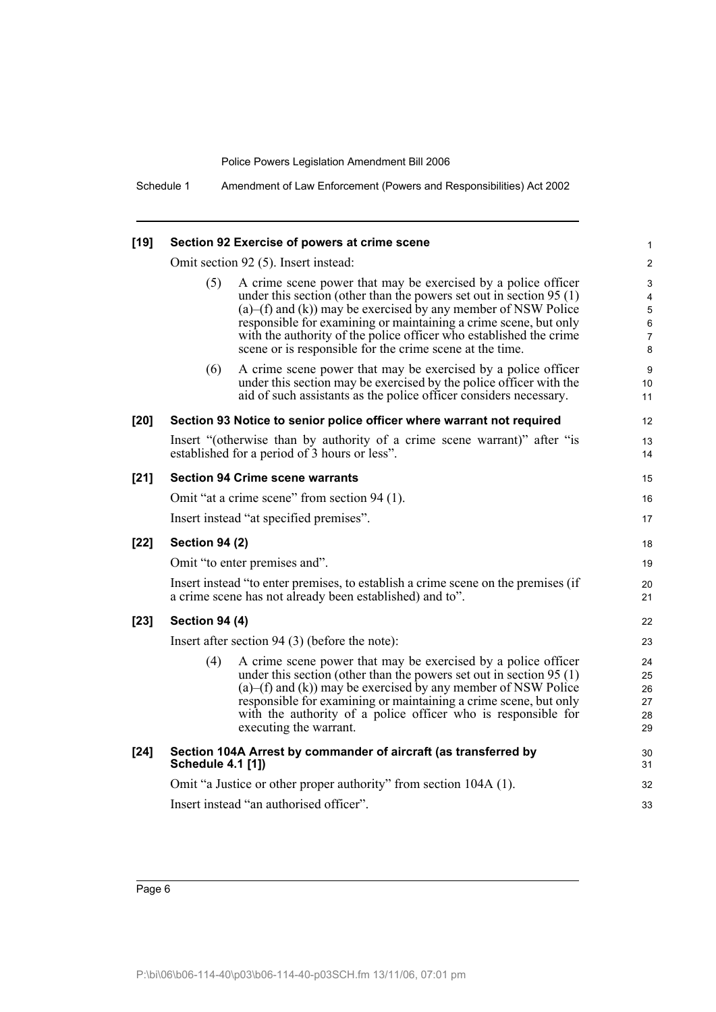Schedule 1 Amendment of Law Enforcement (Powers and Responsibilities) Act 2002

| $[19]$ |                          | Section 92 Exercise of powers at crime scene                                                                                                                                                                                                                                                                                                                                                                         | 1                                |
|--------|--------------------------|----------------------------------------------------------------------------------------------------------------------------------------------------------------------------------------------------------------------------------------------------------------------------------------------------------------------------------------------------------------------------------------------------------------------|----------------------------------|
|        |                          | Omit section 92 (5). Insert instead:                                                                                                                                                                                                                                                                                                                                                                                 | $\overline{\mathbf{c}}$          |
|        | (5)                      | A crime scene power that may be exercised by a police officer<br>under this section (other than the powers set out in section $95(1)$ )<br>$(a)$ –(f) and $(k)$ ) may be exercised by any member of NSW Police<br>responsible for examining or maintaining a crime scene, but only<br>with the authority of the police officer who established the crime<br>scene or is responsible for the crime scene at the time. | 3<br>4<br>5<br>6<br>7<br>8       |
|        | (6)                      | A crime scene power that may be exercised by a police officer<br>under this section may be exercised by the police officer with the<br>aid of such assistants as the police officer considers necessary.                                                                                                                                                                                                             | 9<br>10<br>11                    |
| $[20]$ |                          | Section 93 Notice to senior police officer where warrant not required                                                                                                                                                                                                                                                                                                                                                | 12                               |
|        |                          | Insert "(otherwise than by authority of a crime scene warrant)" after "is<br>established for a period of 3 hours or less".                                                                                                                                                                                                                                                                                           | 13<br>14                         |
| $[21]$ |                          | <b>Section 94 Crime scene warrants</b>                                                                                                                                                                                                                                                                                                                                                                               | 15                               |
|        |                          | Omit "at a crime scene" from section 94 (1).                                                                                                                                                                                                                                                                                                                                                                         | 16                               |
|        |                          | Insert instead "at specified premises".                                                                                                                                                                                                                                                                                                                                                                              | 17                               |
| $[22]$ | <b>Section 94 (2)</b>    |                                                                                                                                                                                                                                                                                                                                                                                                                      | 18                               |
|        |                          | Omit "to enter premises and".                                                                                                                                                                                                                                                                                                                                                                                        | 19                               |
|        |                          | Insert instead "to enter premises, to establish a crime scene on the premises (if<br>a crime scene has not already been established) and to".                                                                                                                                                                                                                                                                        | 20<br>21                         |
| $[23]$ | <b>Section 94 (4)</b>    |                                                                                                                                                                                                                                                                                                                                                                                                                      | 22                               |
|        |                          | Insert after section 94 $(3)$ (before the note):                                                                                                                                                                                                                                                                                                                                                                     | 23                               |
|        | (4)                      | A crime scene power that may be exercised by a police officer<br>under this section (other than the powers set out in section $95(1)$ )<br>$(a)$ –(f) and (k)) may be exercised by any member of NSW Police<br>responsible for examining or maintaining a crime scene, but only<br>with the authority of a police officer who is responsible for<br>executing the warrant.                                           | 24<br>25<br>26<br>27<br>28<br>29 |
| $[24]$ | <b>Schedule 4.1 [1])</b> | Section 104A Arrest by commander of aircraft (as transferred by                                                                                                                                                                                                                                                                                                                                                      | 30<br>31                         |
|        |                          | Omit "a Justice or other proper authority" from section 104A (1).                                                                                                                                                                                                                                                                                                                                                    | 32                               |
|        |                          | Insert instead "an authorised officer".                                                                                                                                                                                                                                                                                                                                                                              | 33                               |
|        |                          |                                                                                                                                                                                                                                                                                                                                                                                                                      |                                  |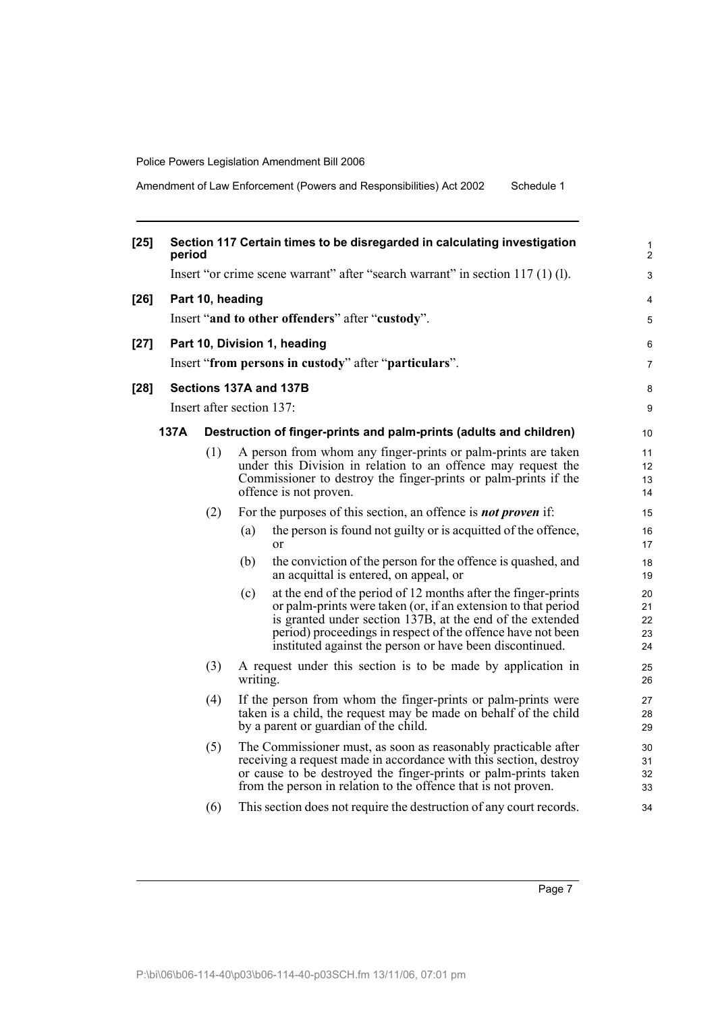Amendment of Law Enforcement (Powers and Responsibilities) Act 2002 Schedule 1

| $[25]$ |      | Section 117 Certain times to be disregarded in calculating investigation<br>period |                           |                                                                                                                                                                                                                                                                                                                        |                            |  |  |  |
|--------|------|------------------------------------------------------------------------------------|---------------------------|------------------------------------------------------------------------------------------------------------------------------------------------------------------------------------------------------------------------------------------------------------------------------------------------------------------------|----------------------------|--|--|--|
|        |      |                                                                                    |                           | Insert "or crime scene warrant" after "search warrant" in section 117 (1) (1).                                                                                                                                                                                                                                         | 3                          |  |  |  |
| $[26]$ |      | Part 10, heading                                                                   |                           |                                                                                                                                                                                                                                                                                                                        | 4                          |  |  |  |
|        |      |                                                                                    |                           | Insert "and to other offenders" after "custody".                                                                                                                                                                                                                                                                       | 5                          |  |  |  |
| $[27]$ |      |                                                                                    |                           | Part 10, Division 1, heading                                                                                                                                                                                                                                                                                           | 6                          |  |  |  |
|        |      |                                                                                    |                           | Insert "from persons in custody" after "particulars".                                                                                                                                                                                                                                                                  | 7                          |  |  |  |
| $[28]$ |      |                                                                                    | Sections 137A and 137B    |                                                                                                                                                                                                                                                                                                                        | 8                          |  |  |  |
|        |      |                                                                                    | Insert after section 137: |                                                                                                                                                                                                                                                                                                                        | 9                          |  |  |  |
|        | 137A |                                                                                    |                           | Destruction of finger-prints and palm-prints (adults and children)                                                                                                                                                                                                                                                     | 10                         |  |  |  |
|        |      | (1)                                                                                |                           | A person from whom any finger-prints or palm-prints are taken<br>under this Division in relation to an offence may request the<br>Commissioner to destroy the finger-prints or palm-prints if the<br>offence is not proven.                                                                                            | 11<br>12<br>13<br>14       |  |  |  |
|        |      | (2)                                                                                |                           | For the purposes of this section, an offence is <b><i>not proven</i></b> if:                                                                                                                                                                                                                                           | 15                         |  |  |  |
|        |      |                                                                                    | (a)                       | the person is found not guilty or is acquitted of the offence,<br>$\alpha$                                                                                                                                                                                                                                             | 16<br>17                   |  |  |  |
|        |      |                                                                                    | (b)                       | the conviction of the person for the offence is quashed, and<br>an acquittal is entered, on appeal, or                                                                                                                                                                                                                 | 18<br>19                   |  |  |  |
|        |      |                                                                                    | (c)                       | at the end of the period of 12 months after the finger-prints<br>or palm-prints were taken (or, if an extension to that period<br>is granted under section 137B, at the end of the extended<br>period) proceedings in respect of the offence have not been<br>instituted against the person or have been discontinued. | 20<br>21<br>22<br>23<br>24 |  |  |  |
|        |      | (3)                                                                                | writing.                  | A request under this section is to be made by application in                                                                                                                                                                                                                                                           | 25<br>26                   |  |  |  |
|        |      | (4)                                                                                |                           | If the person from whom the finger-prints or palm-prints were<br>taken is a child, the request may be made on behalf of the child<br>by a parent or guardian of the child.                                                                                                                                             | 27<br>28<br>29             |  |  |  |
|        |      | (5)                                                                                |                           | The Commissioner must, as soon as reasonably practicable after<br>receiving a request made in accordance with this section, destroy<br>or cause to be destroyed the finger-prints or palm-prints taken<br>from the person in relation to the offence that is not proven.                                               | 30<br>31<br>32<br>33       |  |  |  |
|        |      | (6)                                                                                |                           | This section does not require the destruction of any court records.                                                                                                                                                                                                                                                    | 34                         |  |  |  |
|        |      |                                                                                    |                           |                                                                                                                                                                                                                                                                                                                        |                            |  |  |  |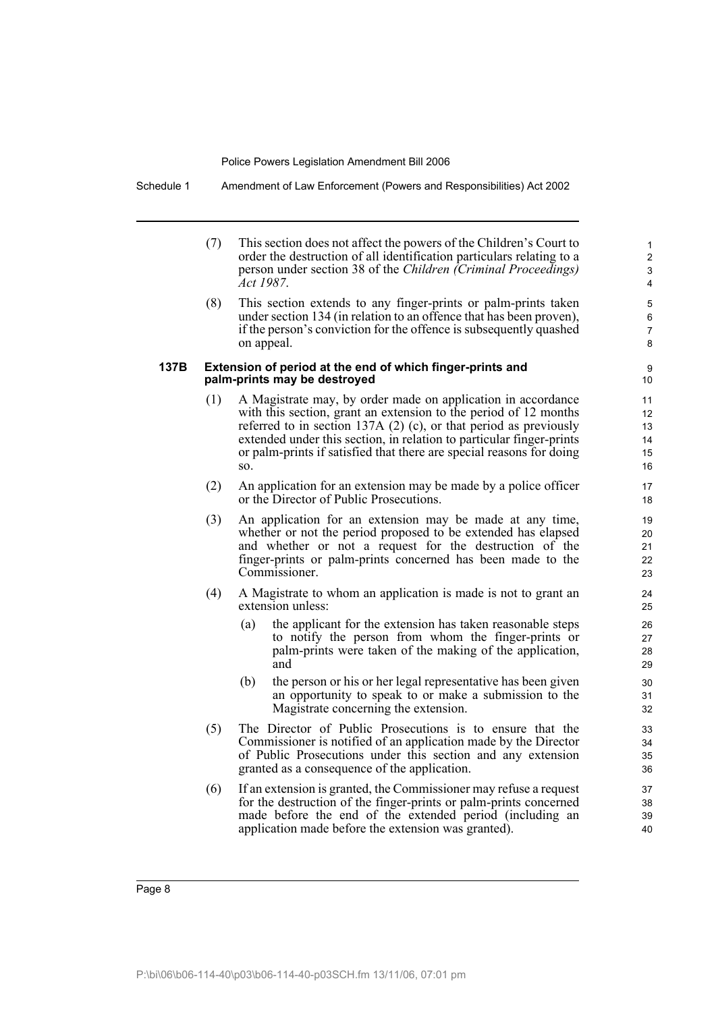Schedule 1 Amendment of Law Enforcement (Powers and Responsibilities) Act 2002

(7) This section does not affect the powers of the Children's Court to order the destruction of all identification particulars relating to a person under section 38 of the *Children (Criminal Proceedings) Act 1987*.

(8) This section extends to any finger-prints or palm-prints taken under section 134 (in relation to an offence that has been proven), if the person's conviction for the offence is subsequently quashed on appeal.

#### **137B Extension of period at the end of which finger-prints and palm-prints may be destroyed**

- (1) A Magistrate may, by order made on application in accordance with this section, grant an extension to the period of 12 months referred to in section 137A  $(2)$   $(c)$ , or that period as previously extended under this section, in relation to particular finger-prints or palm-prints if satisfied that there are special reasons for doing so.
- (2) An application for an extension may be made by a police officer or the Director of Public Prosecutions.
- (3) An application for an extension may be made at any time, whether or not the period proposed to be extended has elapsed and whether or not a request for the destruction of the finger-prints or palm-prints concerned has been made to the Commissioner.
- (4) A Magistrate to whom an application is made is not to grant an extension unless:
	- (a) the applicant for the extension has taken reasonable steps to notify the person from whom the finger-prints or palm-prints were taken of the making of the application, and
	- (b) the person or his or her legal representative has been given an opportunity to speak to or make a submission to the Magistrate concerning the extension.
- (5) The Director of Public Prosecutions is to ensure that the Commissioner is notified of an application made by the Director of Public Prosecutions under this section and any extension granted as a consequence of the application.
- (6) If an extension is granted, the Commissioner may refuse a request for the destruction of the finger-prints or palm-prints concerned made before the end of the extended period (including an application made before the extension was granted).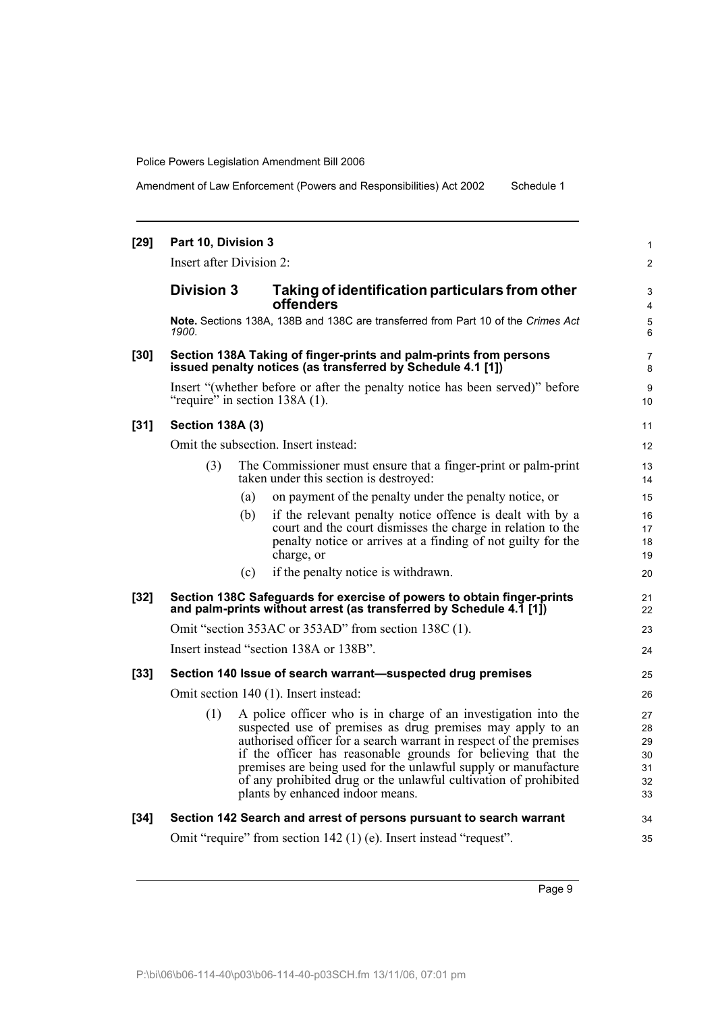Amendment of Law Enforcement (Powers and Responsibilities) Act 2002 Schedule 1

| $[29]$ | Part 10, Division 3      |     |                                                                                                                                                                                                                                                                                                                                                                                                                                              | $\mathbf{1}$                           |
|--------|--------------------------|-----|----------------------------------------------------------------------------------------------------------------------------------------------------------------------------------------------------------------------------------------------------------------------------------------------------------------------------------------------------------------------------------------------------------------------------------------------|----------------------------------------|
|        | Insert after Division 2: |     |                                                                                                                                                                                                                                                                                                                                                                                                                                              | $\overline{2}$                         |
|        | <b>Division 3</b>        |     | Taking of identification particulars from other<br>offenders                                                                                                                                                                                                                                                                                                                                                                                 | 3<br>$\overline{4}$                    |
|        | 1900.                    |     | Note. Sections 138A, 138B and 138C are transferred from Part 10 of the Crimes Act                                                                                                                                                                                                                                                                                                                                                            | 5<br>6                                 |
| $[30]$ |                          |     | Section 138A Taking of finger-prints and palm-prints from persons<br>issued penalty notices (as transferred by Schedule 4.1 [1])                                                                                                                                                                                                                                                                                                             | 7<br>8                                 |
|        |                          |     | Insert "(whether before or after the penalty notice has been served)" before<br>"require" in section $138A(1)$ .                                                                                                                                                                                                                                                                                                                             | 9<br>10                                |
| $[31]$ | <b>Section 138A (3)</b>  |     |                                                                                                                                                                                                                                                                                                                                                                                                                                              | 11                                     |
|        |                          |     | Omit the subsection. Insert instead:                                                                                                                                                                                                                                                                                                                                                                                                         | 12                                     |
|        | (3)                      |     | The Commissioner must ensure that a finger-print or palm-print<br>taken under this section is destroyed:                                                                                                                                                                                                                                                                                                                                     | 13<br>14                               |
|        |                          | (a) | on payment of the penalty under the penalty notice, or                                                                                                                                                                                                                                                                                                                                                                                       | 15                                     |
|        |                          | (b) | if the relevant penalty notice offence is dealt with by a<br>court and the court dismisses the charge in relation to the<br>penalty notice or arrives at a finding of not guilty for the<br>charge, or                                                                                                                                                                                                                                       | 16<br>17<br>18<br>19                   |
|        |                          | (c) | if the penalty notice is withdrawn.                                                                                                                                                                                                                                                                                                                                                                                                          | 20                                     |
| $[32]$ |                          |     | Section 138C Safeguards for exercise of powers to obtain finger-prints<br>and palm-prints without arrest (as transferred by Schedule 4.1 [1])                                                                                                                                                                                                                                                                                                | 21<br>22                               |
|        |                          |     | Omit "section 353AC or 353AD" from section 138C (1).                                                                                                                                                                                                                                                                                                                                                                                         | 23                                     |
|        |                          |     | Insert instead "section 138A or 138B".                                                                                                                                                                                                                                                                                                                                                                                                       | 24                                     |
| $[33]$ |                          |     | Section 140 Issue of search warrant-suspected drug premises                                                                                                                                                                                                                                                                                                                                                                                  | 25                                     |
|        |                          |     | Omit section 140 (1). Insert instead:                                                                                                                                                                                                                                                                                                                                                                                                        | 26                                     |
|        | (1)                      |     | A police officer who is in charge of an investigation into the<br>suspected use of premises as drug premises may apply to an<br>authorised officer for a search warrant in respect of the premises<br>if the officer has reasonable grounds for believing that the<br>premises are being used for the unlawful supply or manufacture<br>of any prohibited drug or the unlawful cultivation of prohibited<br>plants by enhanced indoor means. | 27<br>28<br>29<br>30<br>31<br>32<br>33 |
| $[34]$ |                          |     | Section 142 Search and arrest of persons pursuant to search warrant                                                                                                                                                                                                                                                                                                                                                                          | 34                                     |
|        |                          |     | Omit "require" from section 142 (1) (e). Insert instead "request".                                                                                                                                                                                                                                                                                                                                                                           | 35                                     |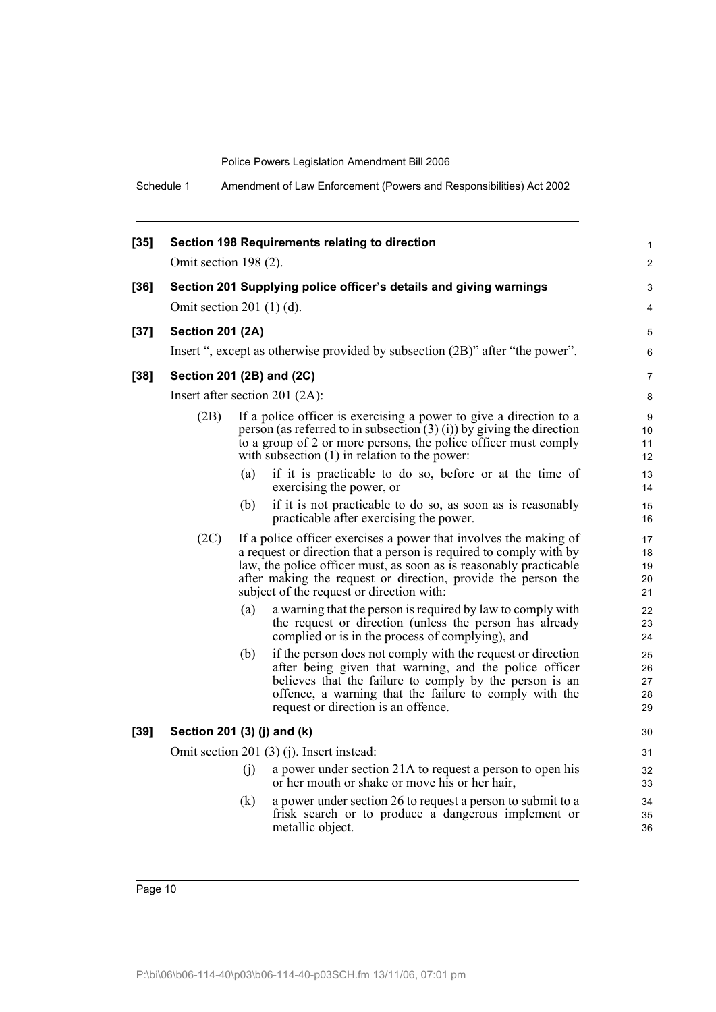Schedule 1 Amendment of Law Enforcement (Powers and Responsibilities) Act 2002

| $[35]$ |                                |     | Section 198 Requirements relating to direction                                                                                                                                                                                                                                                                              | 1                          |
|--------|--------------------------------|-----|-----------------------------------------------------------------------------------------------------------------------------------------------------------------------------------------------------------------------------------------------------------------------------------------------------------------------------|----------------------------|
|        | Omit section 198 (2).          |     |                                                                                                                                                                                                                                                                                                                             | 2                          |
| $[36]$ | Omit section 201 $(1)$ $(d)$ . |     | Section 201 Supplying police officer's details and giving warnings                                                                                                                                                                                                                                                          | 3<br>4                     |
| $[37]$ | <b>Section 201 (2A)</b>        |     |                                                                                                                                                                                                                                                                                                                             | 5                          |
|        |                                |     | Insert ", except as otherwise provided by subsection (2B)" after "the power".                                                                                                                                                                                                                                               | 6                          |
| $[38]$ | Section 201 (2B) and (2C)      |     |                                                                                                                                                                                                                                                                                                                             | 7                          |
|        |                                |     | Insert after section 201 $(2A)$ :                                                                                                                                                                                                                                                                                           | 8                          |
|        | (2B)                           |     | If a police officer is exercising a power to give a direction to a<br>person (as referred to in subsection $(3)(i)$ ) by giving the direction<br>to a group of 2 or more persons, the police officer must comply<br>with subsection $(1)$ in relation to the power:                                                         | 9<br>10<br>11<br>12        |
|        |                                | (a) | if it is practicable to do so, before or at the time of<br>exercising the power, or                                                                                                                                                                                                                                         | 13<br>14                   |
|        |                                | (b) | if it is not practicable to do so, as soon as is reasonably<br>practicable after exercising the power.                                                                                                                                                                                                                      | 15<br>16                   |
|        | (2C)                           |     | If a police officer exercises a power that involves the making of<br>a request or direction that a person is required to comply with by<br>law, the police officer must, as soon as is reasonably practicable<br>after making the request or direction, provide the person the<br>subject of the request or direction with: | 17<br>18<br>19<br>20<br>21 |
|        |                                | (a) | a warning that the person is required by law to comply with<br>the request or direction (unless the person has already<br>complied or is in the process of complying), and                                                                                                                                                  | 22<br>23<br>24             |
|        |                                | (b) | if the person does not comply with the request or direction<br>after being given that warning, and the police officer<br>believes that the failure to comply by the person is an<br>offence, a warning that the failure to comply with the<br>request or direction is an offence.                                           | 25<br>26<br>27<br>28<br>29 |
| $[39]$ | Section 201 (3) (j) and (k)    |     |                                                                                                                                                                                                                                                                                                                             | 30                         |
|        |                                |     | Omit section 201 (3) (j). Insert instead:                                                                                                                                                                                                                                                                                   | 31                         |
|        |                                | (i) | a power under section 21A to request a person to open his<br>or her mouth or shake or move his or her hair,                                                                                                                                                                                                                 | 32<br>33                   |
|        |                                | (k) | a power under section 26 to request a person to submit to a<br>frisk search or to produce a dangerous implement or<br>metallic object.                                                                                                                                                                                      | 34<br>35<br>36             |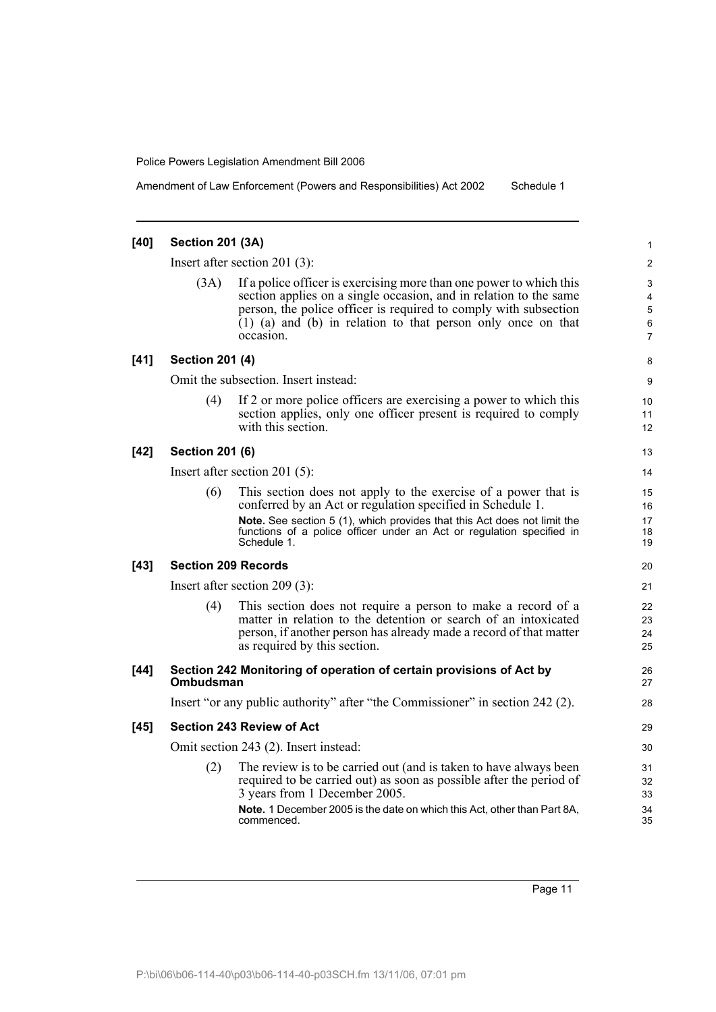Amendment of Law Enforcement (Powers and Responsibilities) Act 2002 Schedule 1

| [40]   | <b>Section 201 (3A)</b> |                                                                                                                                                                                                                                                                                                  | 1                          |
|--------|-------------------------|--------------------------------------------------------------------------------------------------------------------------------------------------------------------------------------------------------------------------------------------------------------------------------------------------|----------------------------|
|        |                         | Insert after section 201 $(3)$ :                                                                                                                                                                                                                                                                 | $\overline{c}$             |
|        | (3A)                    | If a police officer is exercising more than one power to which this<br>section applies on a single occasion, and in relation to the same<br>person, the police officer is required to comply with subsection<br>(1) (a) and (b) in relation to that person only once on that<br>occasion.        | 3<br>4<br>5<br>6<br>7      |
| $[41]$ | <b>Section 201 (4)</b>  |                                                                                                                                                                                                                                                                                                  | 8                          |
|        |                         | Omit the subsection. Insert instead:                                                                                                                                                                                                                                                             | 9                          |
|        | (4)                     | If 2 or more police officers are exercising a power to which this<br>section applies, only one officer present is required to comply<br>with this section.                                                                                                                                       | 10<br>11<br>12             |
| $[42]$ | <b>Section 201 (6)</b>  |                                                                                                                                                                                                                                                                                                  | 13                         |
|        |                         | Insert after section 201 $(5)$ :                                                                                                                                                                                                                                                                 | 14                         |
|        | (6)                     | This section does not apply to the exercise of a power that is<br>conferred by an Act or regulation specified in Schedule 1.<br>Note. See section 5 (1), which provides that this Act does not limit the<br>functions of a police officer under an Act or regulation specified in<br>Schedule 1. | 15<br>16<br>17<br>18<br>19 |
| $[43]$ |                         | <b>Section 209 Records</b>                                                                                                                                                                                                                                                                       | 20                         |
|        |                         | Insert after section $209(3)$ :                                                                                                                                                                                                                                                                  | 21                         |
|        | (4)                     | This section does not require a person to make a record of a<br>matter in relation to the detention or search of an intoxicated<br>person, if another person has already made a record of that matter<br>as required by this section.                                                            | 22<br>23<br>24<br>25       |
| $[44]$ | Ombudsman               | Section 242 Monitoring of operation of certain provisions of Act by                                                                                                                                                                                                                              | 26<br>27                   |
|        |                         | Insert "or any public authority" after "the Commissioner" in section 242 (2).                                                                                                                                                                                                                    | 28                         |
| $[45]$ |                         | <b>Section 243 Review of Act</b>                                                                                                                                                                                                                                                                 | 29                         |
|        |                         | Omit section 243 (2). Insert instead:                                                                                                                                                                                                                                                            | 30                         |
|        | (2)                     | The review is to be carried out (and is taken to have always been<br>required to be carried out) as soon as possible after the period of<br>3 years from 1 December 2005.                                                                                                                        | 31<br>32<br>33             |
|        |                         | Note. 1 December 2005 is the date on which this Act, other than Part 8A,<br>commenced.                                                                                                                                                                                                           | 34<br>35                   |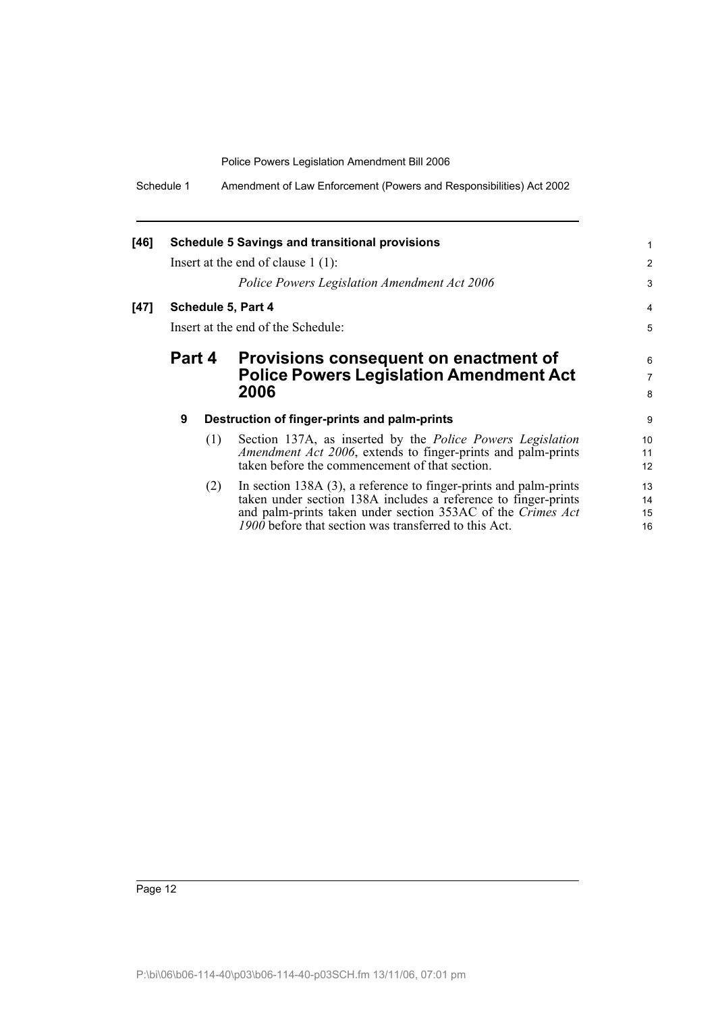Schedule 1 Amendment of Law Enforcement (Powers and Responsibilities) Act 2002

| $[46]$ |        |     | <b>Schedule 5 Savings and transitional provisions</b>                | 1              |
|--------|--------|-----|----------------------------------------------------------------------|----------------|
|        |        |     | Insert at the end of clause $1(1)$ :                                 | 2              |
|        |        |     | Police Powers Legislation Amendment Act 2006                         | 3              |
| $[47]$ |        |     | Schedule 5, Part 4                                                   | 4              |
|        |        |     | Insert at the end of the Schedule:                                   | 5              |
|        | Part 4 |     | Provisions consequent on enactment of                                | 6              |
|        |        |     | <b>Police Powers Legislation Amendment Act</b>                       | $\overline{7}$ |
|        |        |     | 2006                                                                 | 8              |
|        | 9      |     | Destruction of finger-prints and palm-prints                         | 9              |
|        |        | (1) | Section 137A, as inserted by the <i>Police Powers Legislation</i>    | 10             |
|        |        |     | <i>Amendment Act 2006</i> , extends to finger-prints and palm-prints | 11             |
|        |        |     | taken before the commencement of that section.                       | 12             |
|        |        | (2) | In section $138A(3)$ , a reference to finger-prints and palm-prints  | 13             |
|        |        |     | taken under section 138A includes a reference to finger-prints       | 14             |
|        |        |     | and palm-prints taken under section 353AC of the Crimes Act          | 15             |
|        |        |     | 1900 before that section was transferred to this Act.                | 16             |
|        |        |     |                                                                      |                |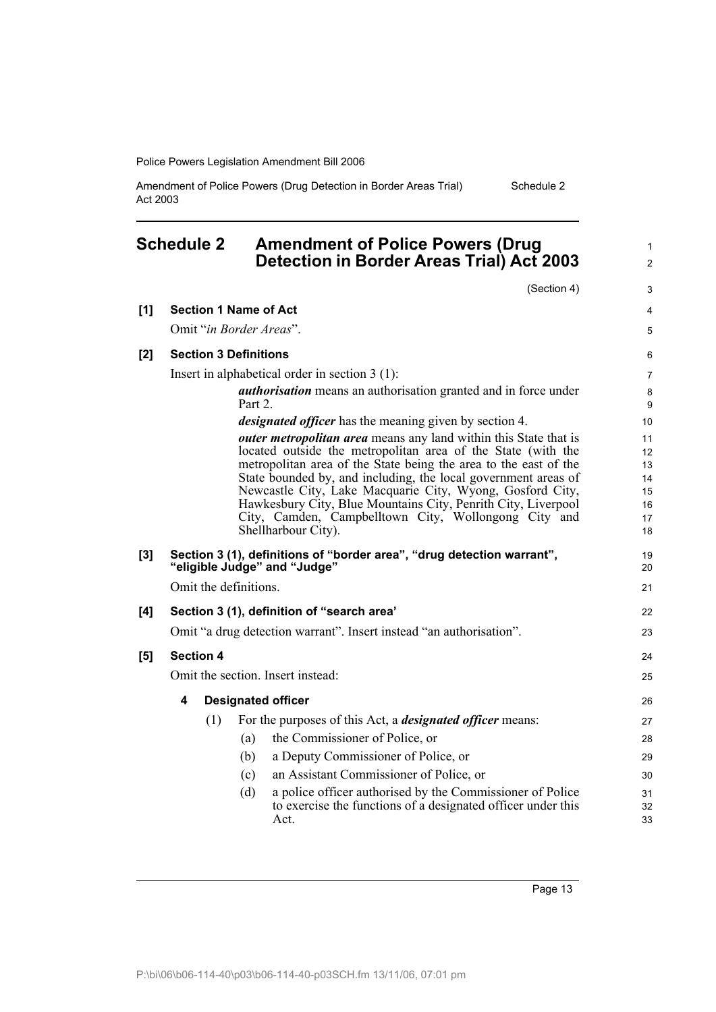Amendment of Police Powers (Drug Detection in Border Areas Trial) Act 2003 Schedule 2

# <span id="page-26-0"></span>**Schedule 2 Amendment of Police Powers (Drug Detection in Border Areas Trial) Act 2003**

|                     |                         | (Section 4)                                                                                                                                                                                                                                                                                                                                                                                                                                                                                       | 3                                            |
|---------------------|-------------------------|---------------------------------------------------------------------------------------------------------------------------------------------------------------------------------------------------------------------------------------------------------------------------------------------------------------------------------------------------------------------------------------------------------------------------------------------------------------------------------------------------|----------------------------------------------|
| [1]                 |                         | <b>Section 1 Name of Act</b>                                                                                                                                                                                                                                                                                                                                                                                                                                                                      | 4                                            |
|                     |                         | Omit "in Border Areas".                                                                                                                                                                                                                                                                                                                                                                                                                                                                           | 5                                            |
| [2]                 |                         | <b>Section 3 Definitions</b>                                                                                                                                                                                                                                                                                                                                                                                                                                                                      | 6                                            |
|                     |                         | Insert in alphabetical order in section $3(1)$ :                                                                                                                                                                                                                                                                                                                                                                                                                                                  | 7                                            |
|                     |                         | <i>authorisation</i> means an authorisation granted and in force under<br>Part 2.                                                                                                                                                                                                                                                                                                                                                                                                                 | 8<br>9                                       |
|                     |                         | <i>designated officer</i> has the meaning given by section 4.                                                                                                                                                                                                                                                                                                                                                                                                                                     | 10                                           |
|                     |                         | <b><i>outer metropolitan area</i></b> means any land within this State that is<br>located outside the metropolitan area of the State (with the<br>metropolitan area of the State being the area to the east of the<br>State bounded by, and including, the local government areas of<br>Newcastle City, Lake Macquarie City, Wyong, Gosford City,<br>Hawkesbury City, Blue Mountains City, Penrith City, Liverpool<br>City, Camden, Campbelltown City, Wollongong City and<br>Shellharbour City). | 11<br>12<br>13<br>14<br>15<br>16<br>17<br>18 |
| [3]                 |                         | Section 3 (1), definitions of "border area", "drug detection warrant",<br>"eligible Judge" and "Judge"                                                                                                                                                                                                                                                                                                                                                                                            | 19<br>20                                     |
|                     |                         | Omit the definitions.                                                                                                                                                                                                                                                                                                                                                                                                                                                                             | 21                                           |
| [4]                 |                         | Section 3 (1), definition of "search area'                                                                                                                                                                                                                                                                                                                                                                                                                                                        | 22                                           |
|                     |                         | Omit "a drug detection warrant". Insert instead "an authorisation".                                                                                                                                                                                                                                                                                                                                                                                                                               | 23                                           |
| $\bm{\mathsf{[5]}}$ | <b>Section 4</b>        |                                                                                                                                                                                                                                                                                                                                                                                                                                                                                                   | 24                                           |
|                     |                         | Omit the section. Insert instead:                                                                                                                                                                                                                                                                                                                                                                                                                                                                 | 25                                           |
|                     | $\overline{\mathbf{4}}$ | <b>Designated officer</b>                                                                                                                                                                                                                                                                                                                                                                                                                                                                         | 26                                           |
|                     | (1)                     | For the purposes of this Act, a <i>designated officer</i> means:                                                                                                                                                                                                                                                                                                                                                                                                                                  | 27                                           |
|                     |                         | the Commissioner of Police, or<br>(a)                                                                                                                                                                                                                                                                                                                                                                                                                                                             | 28                                           |
|                     |                         | (b)<br>a Deputy Commissioner of Police, or                                                                                                                                                                                                                                                                                                                                                                                                                                                        | 29                                           |
|                     |                         | an Assistant Commissioner of Police, or<br>(c)                                                                                                                                                                                                                                                                                                                                                                                                                                                    | 30                                           |
|                     |                         | (d)<br>a police officer authorised by the Commissioner of Police<br>to exercise the functions of a designated officer under this<br>Act.                                                                                                                                                                                                                                                                                                                                                          | 31<br>32<br>33                               |
|                     |                         |                                                                                                                                                                                                                                                                                                                                                                                                                                                                                                   |                                              |

Page 13

1 2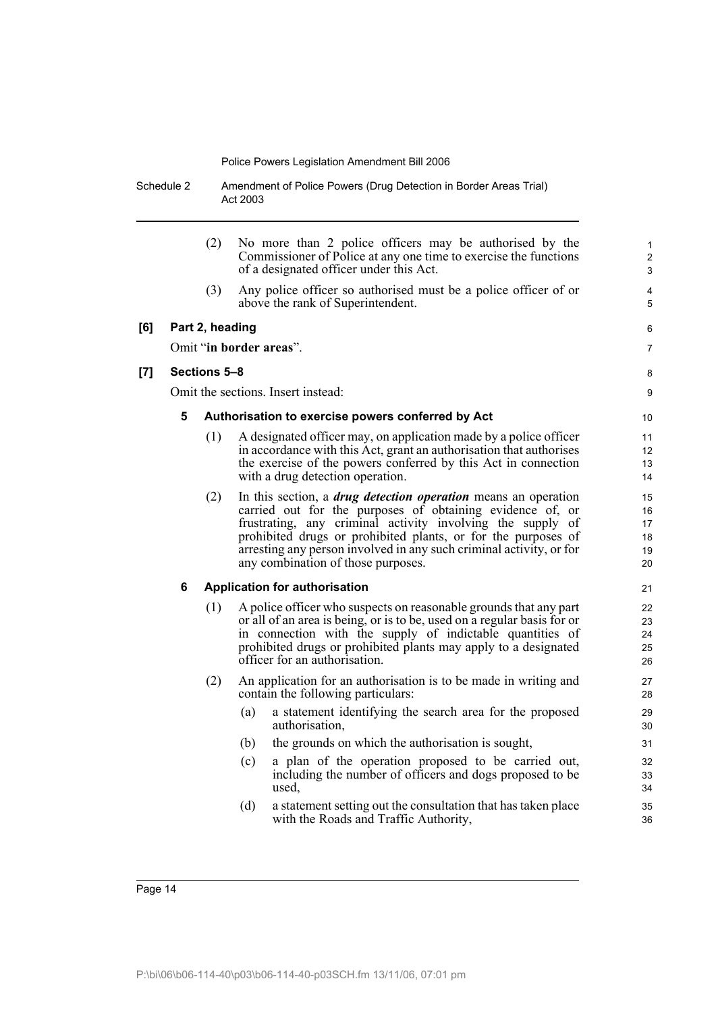Schedule 2 Amendment of Police Powers (Drug Detection in Border Areas Trial) Act 2003

|     |                         | (2)             | No more than 2 police officers may be authorised by the<br>Commissioner of Police at any one time to exercise the functions<br>of a designated officer under this Act.                                                                                                                                                                                                         | 1<br>$\mathbf{2}$<br>3           |  |  |
|-----|-------------------------|-----------------|--------------------------------------------------------------------------------------------------------------------------------------------------------------------------------------------------------------------------------------------------------------------------------------------------------------------------------------------------------------------------------|----------------------------------|--|--|
|     |                         | (3)             | Any police officer so authorised must be a police officer of or<br>above the rank of Superintendent.                                                                                                                                                                                                                                                                           | 4<br>5                           |  |  |
| [6] |                         | Part 2, heading |                                                                                                                                                                                                                                                                                                                                                                                | 6                                |  |  |
|     | Omit "in border areas". |                 |                                                                                                                                                                                                                                                                                                                                                                                |                                  |  |  |
| [7] |                         | Sections 5-8    |                                                                                                                                                                                                                                                                                                                                                                                | 8                                |  |  |
|     |                         |                 | Omit the sections. Insert instead:                                                                                                                                                                                                                                                                                                                                             | 9                                |  |  |
|     | 5                       |                 | Authorisation to exercise powers conferred by Act                                                                                                                                                                                                                                                                                                                              | 10                               |  |  |
|     |                         | (1)             | A designated officer may, on application made by a police officer<br>in accordance with this Act, grant an authorisation that authorises<br>the exercise of the powers conferred by this Act in connection<br>with a drug detection operation.                                                                                                                                 | 11<br>12<br>13<br>14             |  |  |
|     |                         | (2)             | In this section, a <i>drug detection operation</i> means an operation<br>carried out for the purposes of obtaining evidence of, or<br>frustrating, any criminal activity involving the supply of<br>prohibited drugs or prohibited plants, or for the purposes of<br>arresting any person involved in any such criminal activity, or for<br>any combination of those purposes. | 15<br>16<br>17<br>18<br>19<br>20 |  |  |
|     | 6                       |                 | <b>Application for authorisation</b>                                                                                                                                                                                                                                                                                                                                           | 21                               |  |  |
|     |                         | (1)             | A police officer who suspects on reasonable grounds that any part<br>or all of an area is being, or is to be, used on a regular basis for or<br>in connection with the supply of indictable quantities of<br>prohibited drugs or prohibited plants may apply to a designated<br>officer for an authorisation.                                                                  | 22<br>23<br>24<br>25<br>26       |  |  |
|     |                         | (2)             | An application for an authorisation is to be made in writing and<br>contain the following particulars:                                                                                                                                                                                                                                                                         | 27<br>28                         |  |  |
|     |                         |                 | a statement identifying the search area for the proposed<br>(a)<br>authorisation,                                                                                                                                                                                                                                                                                              | 29<br>30                         |  |  |
|     |                         |                 | the grounds on which the authorisation is sought,<br>(b)                                                                                                                                                                                                                                                                                                                       | 31                               |  |  |
|     |                         |                 | (c)<br>a plan of the operation proposed to be carried out,<br>including the number of officers and dogs proposed to be<br>used,                                                                                                                                                                                                                                                | 32<br>33<br>34                   |  |  |
|     |                         |                 | a statement setting out the consultation that has taken place<br>(d)<br>with the Roads and Traffic Authority,                                                                                                                                                                                                                                                                  | 35<br>36                         |  |  |
|     |                         |                 |                                                                                                                                                                                                                                                                                                                                                                                |                                  |  |  |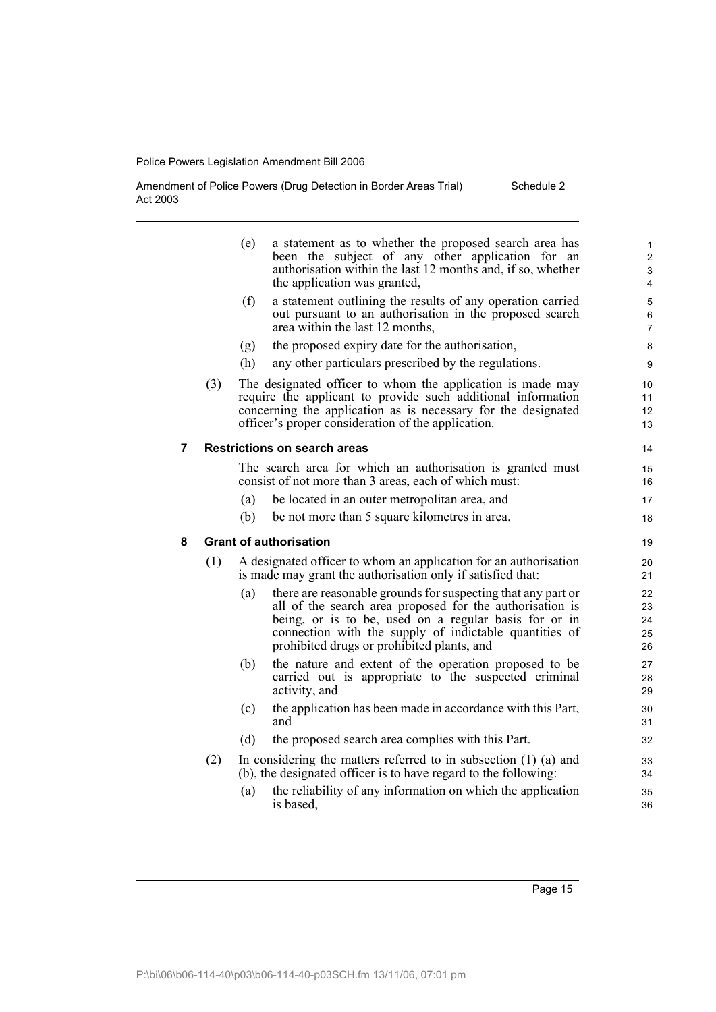Act 2003

Amendment of Police Powers (Drug Detection in Border Areas Trial)

Schedule 2

(e) a statement as to whether the proposed search area has been the subject of any other application for an authorisation within the last 12 months and, if so, whether the application was granted, (f) a statement outlining the results of any operation carried out pursuant to an authorisation in the proposed search area within the last 12 months, (g) the proposed expiry date for the authorisation, (h) any other particulars prescribed by the regulations. (3) The designated officer to whom the application is made may require the applicant to provide such additional information concerning the application as is necessary for the designated officer's proper consideration of the application. **7 Restrictions on search areas** The search area for which an authorisation is granted must consist of not more than 3 areas, each of which must: (a) be located in an outer metropolitan area, and (b) be not more than 5 square kilometres in area. **8 Grant of authorisation** (1) A designated officer to whom an application for an authorisation is made may grant the authorisation only if satisfied that: (a) there are reasonable grounds for suspecting that any part or all of the search area proposed for the authorisation is being, or is to be, used on a regular basis for or in connection with the supply of indictable quantities of prohibited drugs or prohibited plants, and (b) the nature and extent of the operation proposed to be carried out is appropriate to the suspected criminal activity, and (c) the application has been made in accordance with this Part, and (d) the proposed search area complies with this Part. (2) In considering the matters referred to in subsection (1) (a) and (b), the designated officer is to have regard to the following: (a) the reliability of any information on which the application is based, 10 11 12 13 14 15 16 17 18 19  $20$ 21 22 23 24 25 26 27 28 29 30 31 32 33 34 35 36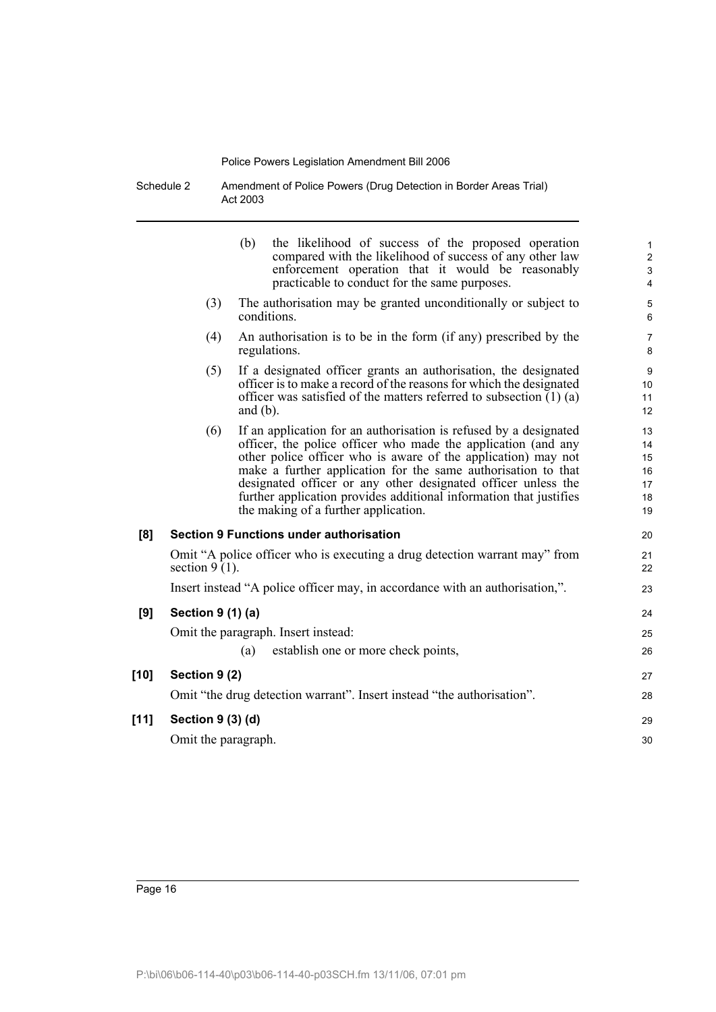Schedule 2 Amendment of Police Powers (Drug Detection in Border Areas Trial) Act 2003

|        |                     | the likelihood of success of the proposed operation<br>(b)<br>compared with the likelihood of success of any other law<br>enforcement operation that it would be reasonably<br>practicable to conduct for the same purposes.                                                                                                                                                                                                                        | 1<br>$\overline{c}$<br>3<br>4          |
|--------|---------------------|-----------------------------------------------------------------------------------------------------------------------------------------------------------------------------------------------------------------------------------------------------------------------------------------------------------------------------------------------------------------------------------------------------------------------------------------------------|----------------------------------------|
|        | (3)                 | The authorisation may be granted unconditionally or subject to<br>conditions.                                                                                                                                                                                                                                                                                                                                                                       | 5<br>6                                 |
|        | (4)                 | An authorisation is to be in the form (if any) prescribed by the<br>regulations.                                                                                                                                                                                                                                                                                                                                                                    | 7<br>8                                 |
|        | (5)                 | If a designated officer grants an authorisation, the designated<br>officer is to make a record of the reasons for which the designated<br>officer was satisfied of the matters referred to subsection $(1)$ (a)<br>and $(b)$ .                                                                                                                                                                                                                      | 9<br>10<br>11<br>12                    |
|        | (6)                 | If an application for an authorisation is refused by a designated<br>officer, the police officer who made the application (and any<br>other police officer who is aware of the application) may not<br>make a further application for the same authorisation to that<br>designated officer or any other designated officer unless the<br>further application provides additional information that justifies<br>the making of a further application. | 13<br>14<br>15<br>16<br>17<br>18<br>19 |
| [8]    |                     | <b>Section 9 Functions under authorisation</b>                                                                                                                                                                                                                                                                                                                                                                                                      | 20                                     |
|        | section $9(1)$ .    | Omit "A police officer who is executing a drug detection warrant may" from                                                                                                                                                                                                                                                                                                                                                                          | 21<br>22                               |
|        |                     | Insert instead "A police officer may, in accordance with an authorisation,".                                                                                                                                                                                                                                                                                                                                                                        | 23                                     |
| [9]    | Section 9 (1) (a)   |                                                                                                                                                                                                                                                                                                                                                                                                                                                     | 24                                     |
|        |                     | Omit the paragraph. Insert instead:                                                                                                                                                                                                                                                                                                                                                                                                                 | 25                                     |
|        |                     | establish one or more check points,<br>(a)                                                                                                                                                                                                                                                                                                                                                                                                          | 26                                     |
| [10]   | Section 9 (2)       |                                                                                                                                                                                                                                                                                                                                                                                                                                                     | 27                                     |
|        |                     | Omit "the drug detection warrant". Insert instead "the authorisation".                                                                                                                                                                                                                                                                                                                                                                              | 28                                     |
| $[11]$ | Section 9 (3) (d)   |                                                                                                                                                                                                                                                                                                                                                                                                                                                     | 29                                     |
|        | Omit the paragraph. |                                                                                                                                                                                                                                                                                                                                                                                                                                                     | 30                                     |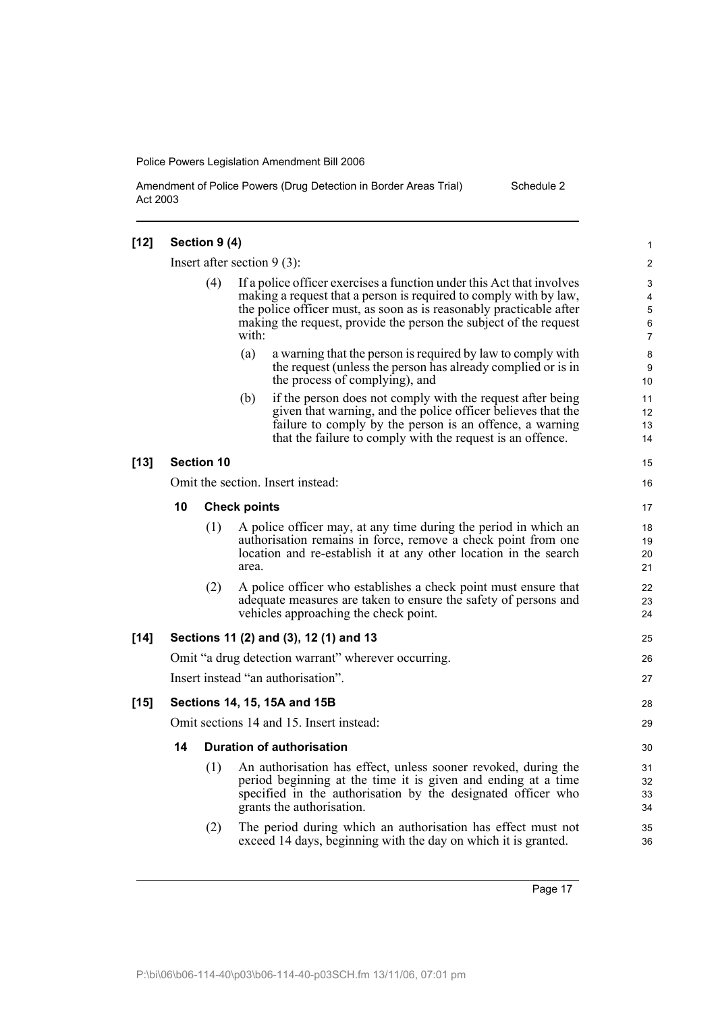Amendment of Police Powers (Drug Detection in Border Areas Trial) Act 2003 Schedule 2

| $[12]$ |                                          | Section 9 (4) |                               |                                                                                                                                                                                                                                                                                        |  |
|--------|------------------------------------------|---------------|-------------------------------|----------------------------------------------------------------------------------------------------------------------------------------------------------------------------------------------------------------------------------------------------------------------------------------|--|
|        |                                          |               | Insert after section $9(3)$ : |                                                                                                                                                                                                                                                                                        |  |
|        |                                          | (4)           | with:                         | If a police officer exercises a function under this Act that involves<br>making a request that a person is required to comply with by law,<br>the police officer must, as soon as is reasonably practicable after<br>making the request, provide the person the subject of the request |  |
|        |                                          |               | (a)                           | a warning that the person is required by law to comply with<br>the request (unless the person has already complied or is in<br>the process of complying), and                                                                                                                          |  |
|        |                                          |               | (b)                           | if the person does not comply with the request after being<br>given that warning, and the police officer believes that the<br>failure to comply by the person is an offence, a warning<br>that the failure to comply with the request is an offence.                                   |  |
| $[13]$ | <b>Section 10</b>                        |               |                               |                                                                                                                                                                                                                                                                                        |  |
|        |                                          |               |                               | Omit the section. Insert instead:                                                                                                                                                                                                                                                      |  |
|        | 10                                       |               | <b>Check points</b>           |                                                                                                                                                                                                                                                                                        |  |
|        |                                          | (1)           | area.                         | A police officer may, at any time during the period in which an<br>authorisation remains in force, remove a check point from one<br>location and re-establish it at any other location in the search                                                                                   |  |
|        |                                          | (2)           |                               | A police officer who establishes a check point must ensure that<br>adequate measures are taken to ensure the safety of persons and<br>vehicles approaching the check point.                                                                                                            |  |
| $[14]$ |                                          |               |                               | Sections 11 (2) and (3), 12 (1) and 13                                                                                                                                                                                                                                                 |  |
|        |                                          |               |                               | Omit "a drug detection warrant" wherever occurring.                                                                                                                                                                                                                                    |  |
|        | Insert instead "an authorisation".       |               |                               |                                                                                                                                                                                                                                                                                        |  |
| $[15]$ |                                          |               |                               | Sections 14, 15, 15A and 15B                                                                                                                                                                                                                                                           |  |
|        | Omit sections 14 and 15. Insert instead: |               |                               |                                                                                                                                                                                                                                                                                        |  |
|        | 14                                       |               |                               | <b>Duration of authorisation</b>                                                                                                                                                                                                                                                       |  |
|        |                                          | (1)           |                               | An authorisation has effect, unless sooner revoked, during the<br>period beginning at the time it is given and ending at a time<br>specified in the authorisation by the designated officer who<br>grants the authorisation.                                                           |  |
|        |                                          | (2)           |                               | The period during which an authorisation has effect must not<br>exceed 14 days, beginning with the day on which it is granted.                                                                                                                                                         |  |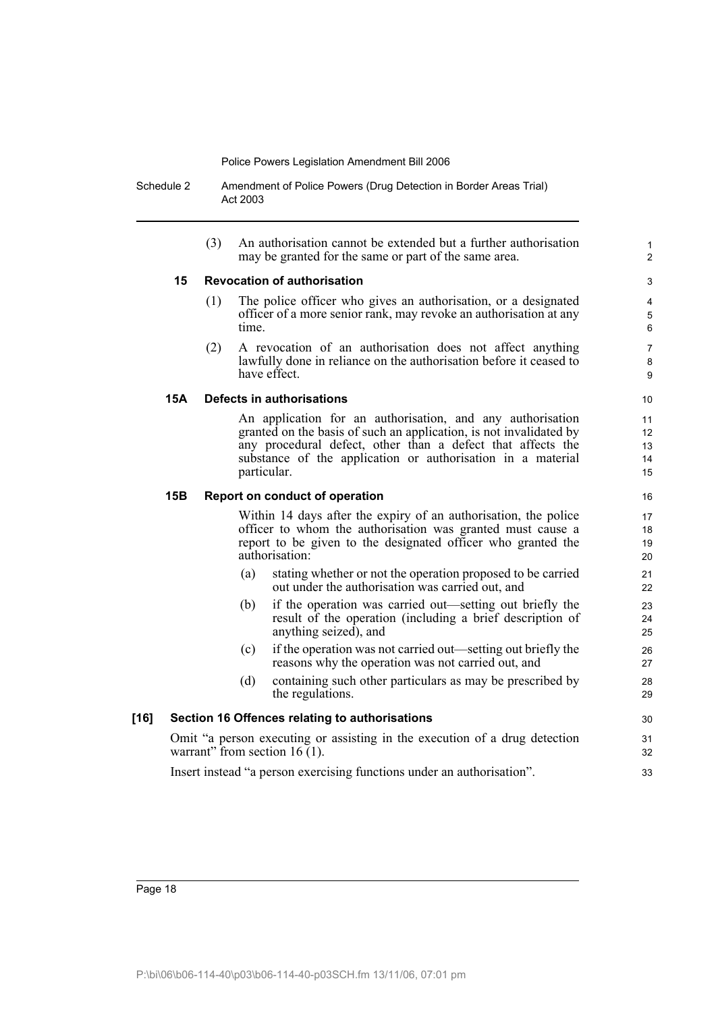Schedule 2 Amendment of Police Powers (Drug Detection in Border Areas Trial) Act 2003

> (3) An authorisation cannot be extended but a further authorisation may be granted for the same or part of the same area.

1  $\overline{2}$ 

### **15 Revocation of authorisation**

- (1) The police officer who gives an authorisation, or a designated officer of a more senior rank, may revoke an authorisation at any time.
- (2) A revocation of an authorisation does not affect anything lawfully done in reliance on the authorisation before it ceased to have effect.

### **15A Defects in authorisations**

An application for an authorisation, and any authorisation granted on the basis of such an application, is not invalidated by any procedural defect, other than a defect that affects the substance of the application or authorisation in a material particular.

### **15B Report on conduct of operation**

Within 14 days after the expiry of an authorisation, the police officer to whom the authorisation was granted must cause a report to be given to the designated officer who granted the authorisation:

- (a) stating whether or not the operation proposed to be carried out under the authorisation was carried out, and
- (b) if the operation was carried out—setting out briefly the result of the operation (including a brief description of anything seized), and
- (c) if the operation was not carried out—setting out briefly the reasons why the operation was not carried out, and
- (d) containing such other particulars as may be prescribed by the regulations.

#### **[16] Section 16 Offences relating to authorisations**

Omit "a person executing or assisting in the execution of a drug detection warrant" from section 16 (1).

Insert instead "a person exercising functions under an authorisation".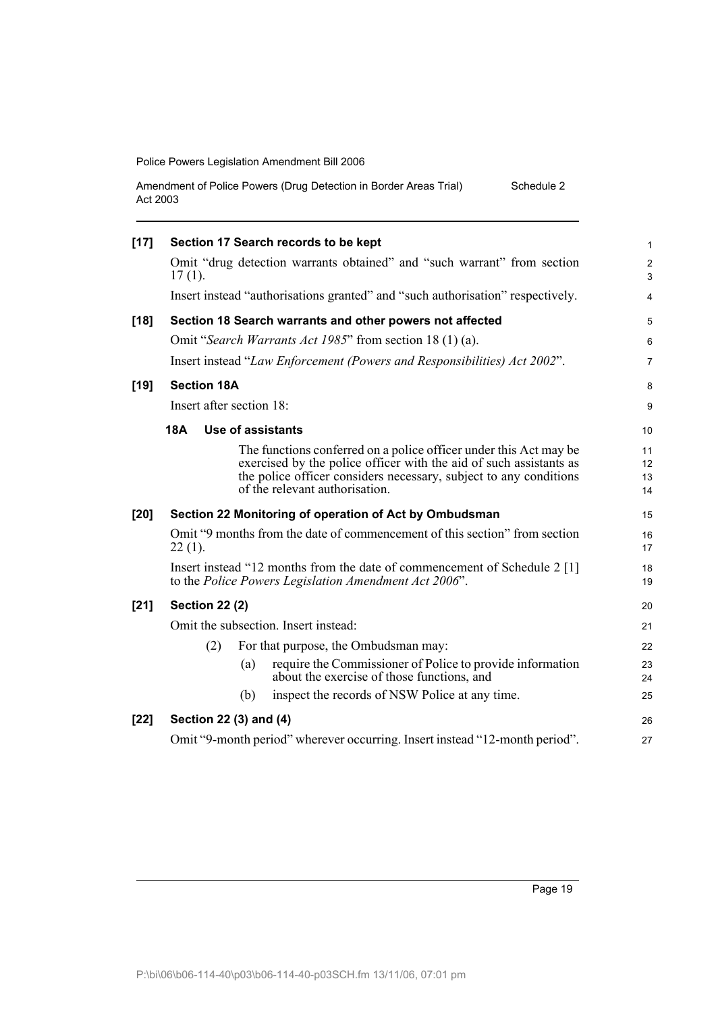| Amendment of Police Powers (Drug Detection in Border Areas Trial) | Schedule 2 |
|-------------------------------------------------------------------|------------|
| Act 2003                                                          |            |

| $[17]$ | Section 17 Search records to be kept                                                                                                                                                                                                           | $\mathbf{1}$         |  |  |  |
|--------|------------------------------------------------------------------------------------------------------------------------------------------------------------------------------------------------------------------------------------------------|----------------------|--|--|--|
|        | Omit "drug detection warrants obtained" and "such warrant" from section<br>$17(1)$ .                                                                                                                                                           | $\overline{c}$<br>3  |  |  |  |
|        | Insert instead "authorisations granted" and "such authorisation" respectively.                                                                                                                                                                 | 4                    |  |  |  |
| $[18]$ | Section 18 Search warrants and other powers not affected                                                                                                                                                                                       | 5                    |  |  |  |
|        | Omit "Search Warrants Act 1985" from section 18 (1) (a).                                                                                                                                                                                       | 6                    |  |  |  |
|        | Insert instead "Law Enforcement (Powers and Responsibilities) Act 2002".                                                                                                                                                                       | $\overline{7}$       |  |  |  |
| $[19]$ | <b>Section 18A</b>                                                                                                                                                                                                                             | 8                    |  |  |  |
|        | Insert after section 18:                                                                                                                                                                                                                       | 9                    |  |  |  |
|        | 18A<br>Use of assistants                                                                                                                                                                                                                       | 10                   |  |  |  |
|        | The functions conferred on a police officer under this Act may be<br>exercised by the police officer with the aid of such assistants as<br>the police officer considers necessary, subject to any conditions<br>of the relevant authorisation. | 11<br>12<br>13<br>14 |  |  |  |
| [20]   | Section 22 Monitoring of operation of Act by Ombudsman                                                                                                                                                                                         | 15                   |  |  |  |
|        | Omit "9 months from the date of commencement of this section" from section<br>$22(1)$ .                                                                                                                                                        | 16<br>17             |  |  |  |
|        | Insert instead "12 months from the date of commencement of Schedule 2 [1]<br>to the Police Powers Legislation Amendment Act 2006".                                                                                                             |                      |  |  |  |
| $[21]$ | <b>Section 22 (2)</b>                                                                                                                                                                                                                          | 20                   |  |  |  |
|        | Omit the subsection. Insert instead:                                                                                                                                                                                                           | 21                   |  |  |  |
|        | For that purpose, the Ombudsman may:<br>(2)                                                                                                                                                                                                    | 22                   |  |  |  |
|        | require the Commissioner of Police to provide information<br>(a)<br>about the exercise of those functions, and                                                                                                                                 | 23<br>24             |  |  |  |
|        | inspect the records of NSW Police at any time.<br>(b)                                                                                                                                                                                          | 25                   |  |  |  |
| $[22]$ | Section 22 (3) and (4)                                                                                                                                                                                                                         | 26                   |  |  |  |
|        | Omit "9-month period" wherever occurring. Insert instead "12-month period".                                                                                                                                                                    |                      |  |  |  |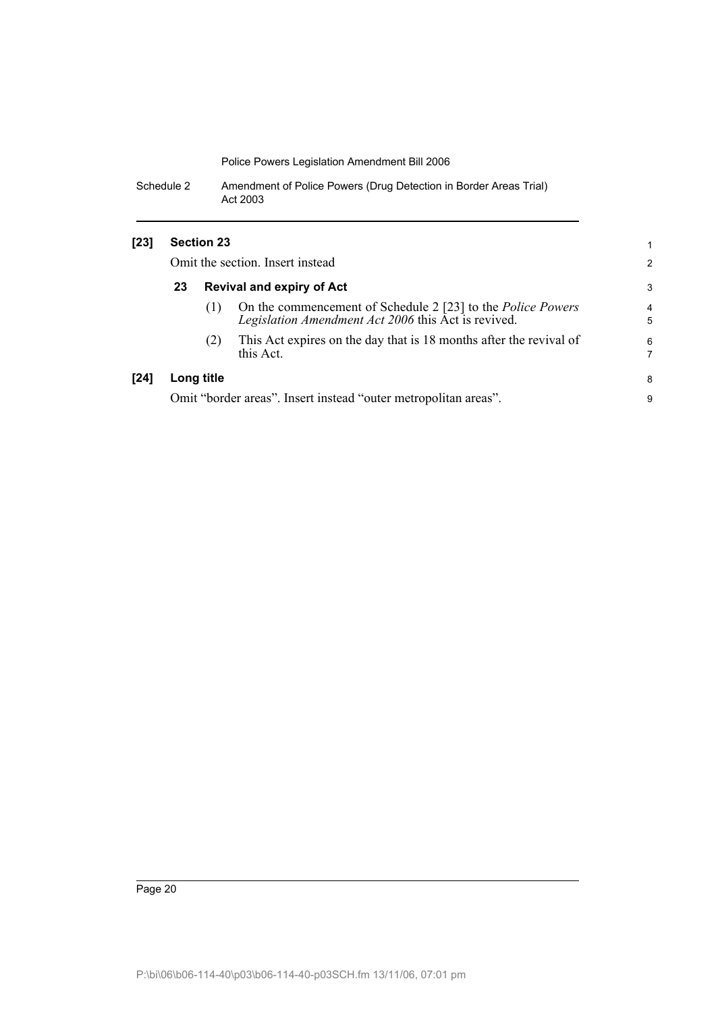Schedule 2 Amendment of Police Powers (Drug Detection in Border Areas Trial) Act 2003

# **[23] Section 23**

|      |                                                                 | Omit the section. Insert instead |                                                                                                                           |        |
|------|-----------------------------------------------------------------|----------------------------------|---------------------------------------------------------------------------------------------------------------------------|--------|
|      | 23                                                              | <b>Revival and expiry of Act</b> |                                                                                                                           |        |
|      |                                                                 | (1)                              | On the commencement of Schedule 2 [23] to the <i>Police Powers</i><br>Legislation Amendment Act 2006 this Act is revived. | 4<br>5 |
|      |                                                                 | (2)                              | This Act expires on the day that is 18 months after the revival of<br>this Act.                                           | 6<br>7 |
| [24] | Long title                                                      |                                  | 8                                                                                                                         |        |
|      | Omit "border areas". Insert instead "outer metropolitan areas". |                                  |                                                                                                                           | 9      |

1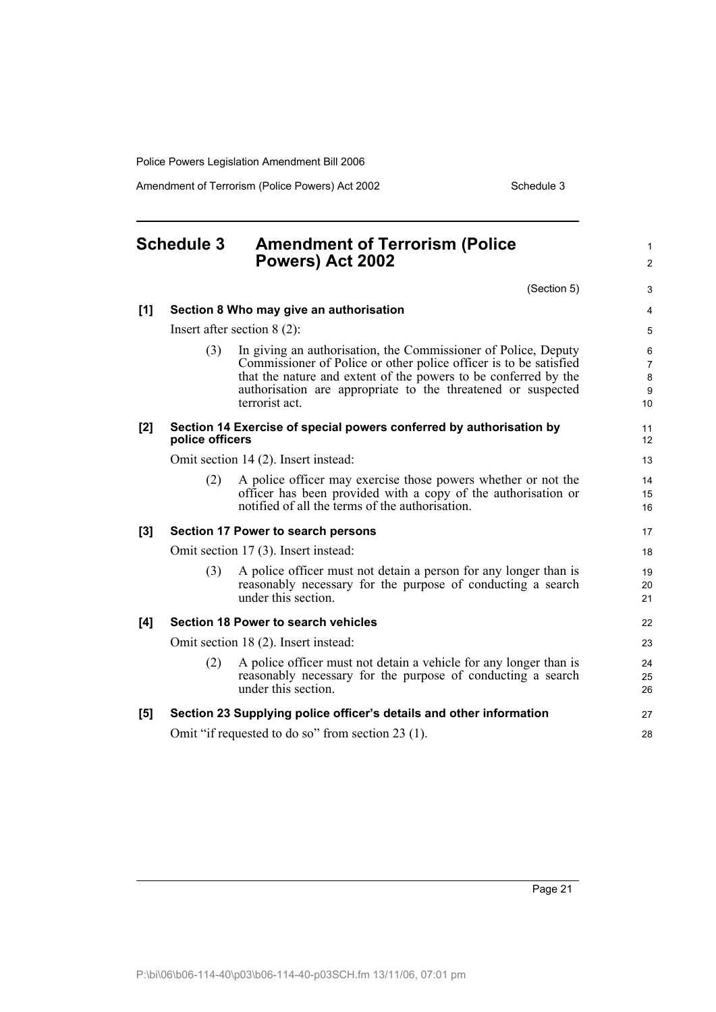Amendment of Terrorism (Police Powers) Act 2002 Schedule 3

#### <span id="page-34-0"></span>**Schedule 3 Amendment of Terrorism (Police Powers) Act 2002** (Section 5) **[1] Section 8 Who may give an authorisation** Insert after section 8 (2): (3) In giving an authorisation, the Commissioner of Police, Deputy Commissioner of Police or other police officer is to be satisfied that the nature and extent of the powers to be conferred by the authorisation are appropriate to the threatened or suspected terrorist act. **[2] Section 14 Exercise of special powers conferred by authorisation by police officers** Omit section 14 (2). Insert instead: (2) A police officer may exercise those powers whether or not the officer has been provided with a copy of the authorisation or notified of all the terms of the authorisation. **[3] Section 17 Power to search persons** Omit section 17 (3). Insert instead: (3) A police officer must not detain a person for any longer than is reasonably necessary for the purpose of conducting a search under this section. **[4] Section 18 Power to search vehicles** Omit section 18 (2). Insert instead: (2) A police officer must not detain a vehicle for any longer than is reasonably necessary for the purpose of conducting a search under this section. **[5] Section 23 Supplying police officer's details and other information** Omit "if requested to do so" from section 23 (1). 1  $\mathfrak{p}$ 3 4 5 6 7 8 9 10 11 12 13 14 15 16 17 18 19  $20$ 21 22  $23$  $24$ 25 26 27 28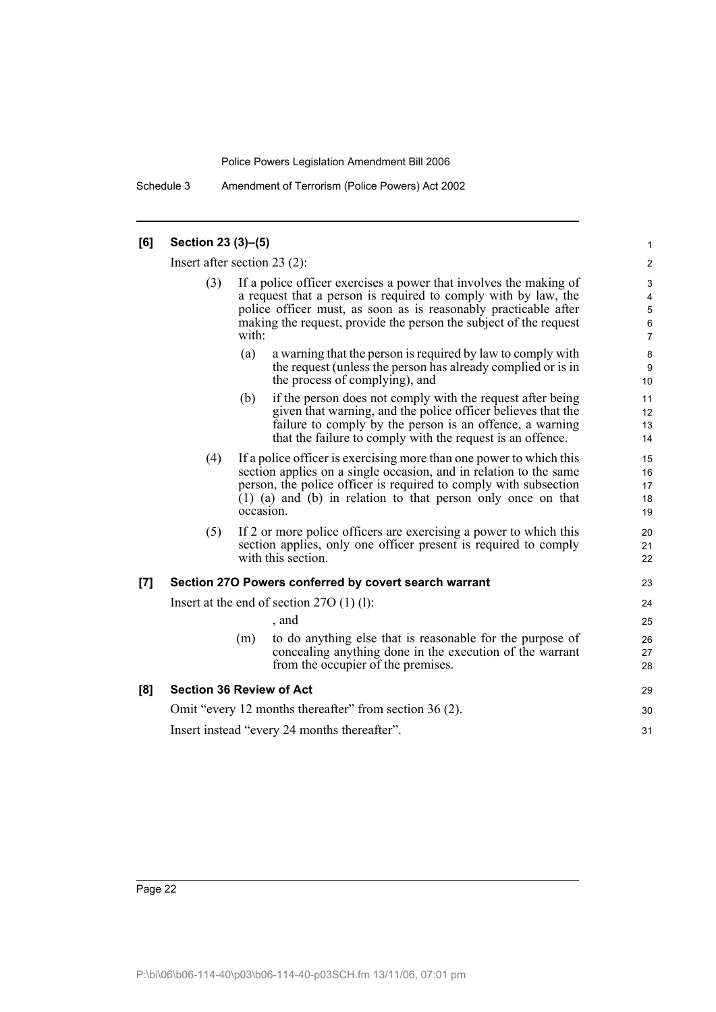Schedule 3 Amendment of Terrorism (Police Powers) Act 2002

#### **[6] Section 23 (3)–(5)** Insert after section 23 (2): (3) If a police officer exercises a power that involves the making of a request that a person is required to comply with by law, the police officer must, as soon as is reasonably practicable after making the request, provide the person the subject of the request with: (a) a warning that the person is required by law to comply with the request (unless the person has already complied or is in the process of complying), and (b) if the person does not comply with the request after being given that warning, and the police officer believes that the failure to comply by the person is an offence, a warning that the failure to comply with the request is an offence. (4) If a police officer is exercising more than one power to which this section applies on a single occasion, and in relation to the same person, the police officer is required to comply with subsection (1) (a) and (b) in relation to that person only once on that occasion. (5) If 2 or more police officers are exercising a power to which this section applies, only one officer present is required to comply with this section. **[7] Section 27O Powers conferred by covert search warrant** Insert at the end of section 27O (1) (l): , and (m) to do anything else that is reasonable for the purpose of concealing anything done in the execution of the warrant from the occupier of the premises. **[8] Section 36 Review of Act** Omit "every 12 months thereafter" from section 36 (2). Insert instead "every 24 months thereafter". 1  $\mathfrak{p}$ 3 4 5 6 7 8 9 10 11 12 13 14 15 16 17 18 19 20 21 22 23 24 25 26 27 28 29 30 31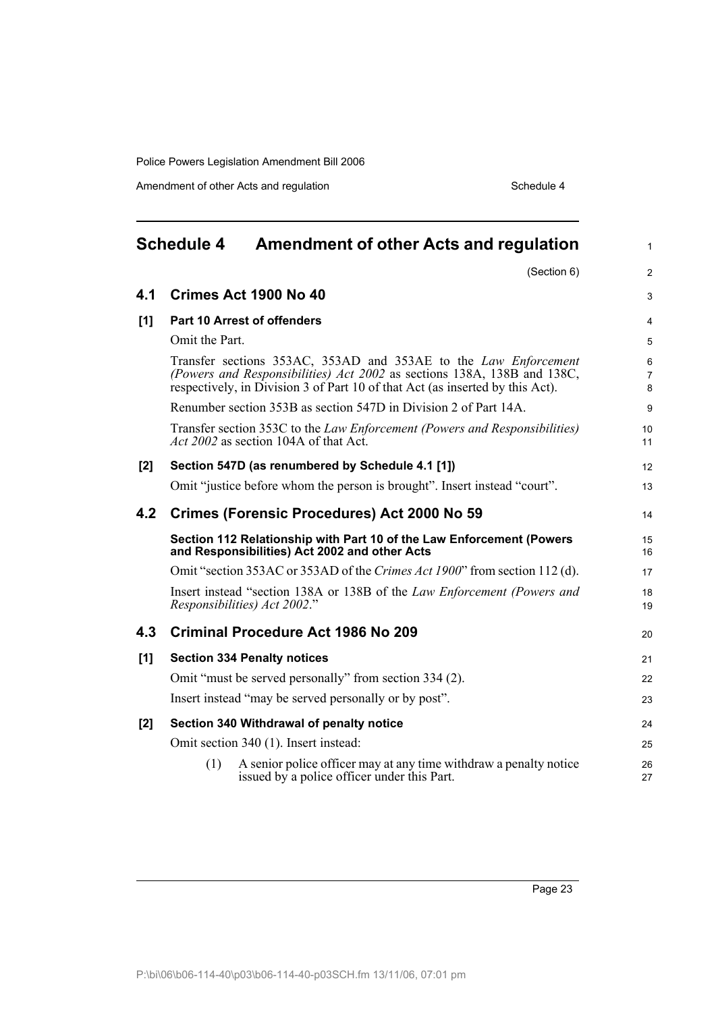Amendment of other Acts and regulation Schedule 4

<span id="page-36-0"></span>

|       | <b>Schedule 4</b><br><b>Amendment of other Acts and regulation</b>                                                                                                                                                          | 1              |
|-------|-----------------------------------------------------------------------------------------------------------------------------------------------------------------------------------------------------------------------------|----------------|
|       | (Section 6)                                                                                                                                                                                                                 | $\overline{c}$ |
| 4.1   | Crimes Act 1900 No 40                                                                                                                                                                                                       | 3              |
| [1]   | <b>Part 10 Arrest of offenders</b>                                                                                                                                                                                          | 4              |
|       | Omit the Part.                                                                                                                                                                                                              | 5              |
|       | Transfer sections 353AC, 353AD and 353AE to the Law Enforcement<br>(Powers and Responsibilities) Act 2002 as sections 138A, 138B and 138C,<br>respectively, in Division 3 of Part 10 of that Act (as inserted by this Act). | 6<br>7<br>8    |
|       | Renumber section 353B as section 547D in Division 2 of Part 14A.                                                                                                                                                            | 9              |
|       | Transfer section 353C to the Law Enforcement (Powers and Responsibilities)<br><i>Act 2002</i> as section 104A of that Act.                                                                                                  | 10<br>11       |
| $[2]$ | Section 547D (as renumbered by Schedule 4.1 [1])                                                                                                                                                                            | 12             |
|       | Omit "justice before whom the person is brought". Insert instead "court".                                                                                                                                                   | 13             |
| 4.2   | Crimes (Forensic Procedures) Act 2000 No 59                                                                                                                                                                                 | 14             |
|       | Section 112 Relationship with Part 10 of the Law Enforcement (Powers<br>and Responsibilities) Act 2002 and other Acts                                                                                                       | 15<br>16       |
|       | Omit "section 353AC or 353AD of the <i>Crimes Act 1900</i> " from section 112 (d).                                                                                                                                          | 17             |
|       | Insert instead "section 138A or 138B of the Law Enforcement (Powers and<br>Responsibilities) Act 2002."                                                                                                                     | 18<br>19       |
| 4.3   | <b>Criminal Procedure Act 1986 No 209</b>                                                                                                                                                                                   | 20             |
| [1]   | <b>Section 334 Penalty notices</b>                                                                                                                                                                                          | 21             |
|       | Omit "must be served personally" from section 334 (2).                                                                                                                                                                      | 22             |
|       | Insert instead "may be served personally or by post".                                                                                                                                                                       | 23             |
| [2]   | Section 340 Withdrawal of penalty notice                                                                                                                                                                                    | 24             |
|       | Omit section 340 (1). Insert instead:                                                                                                                                                                                       | 25             |
|       | A senior police officer may at any time withdraw a penalty notice<br>(1)<br>issued by a police officer under this Part.                                                                                                     | 26<br>27       |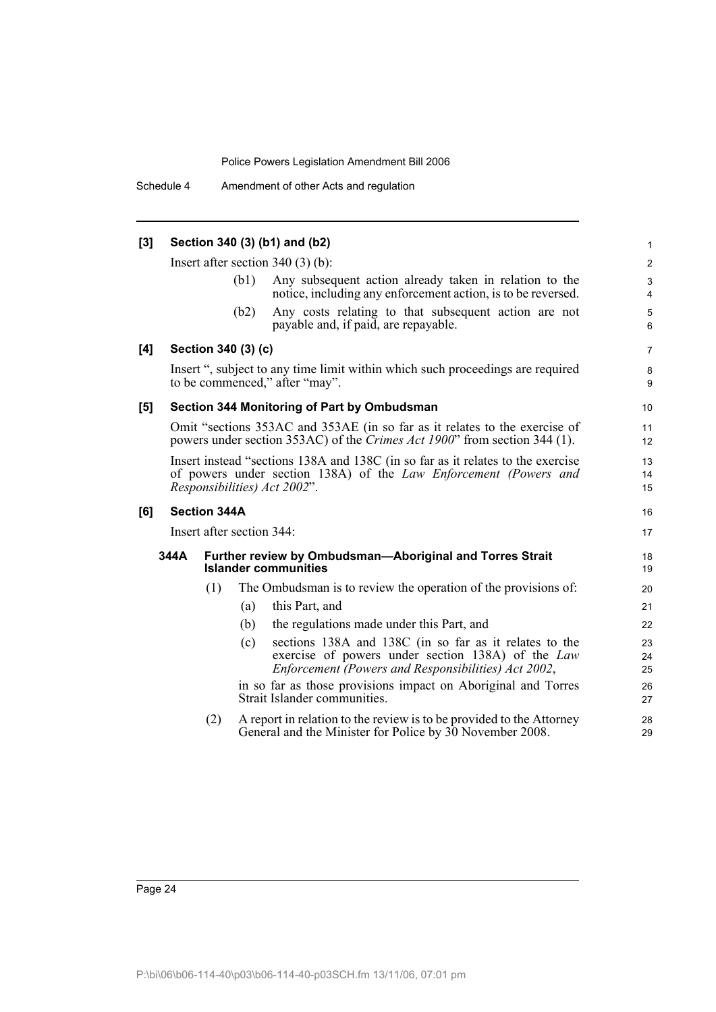Schedule 4 Amendment of other Acts and regulation

#### **[3] Section 340 (3) (b1) and (b2)** Insert after section 340 (3) (b): (b1) Any subsequent action already taken in relation to the notice, including any enforcement action, is to be reversed. (b2) Any costs relating to that subsequent action are not payable and, if paid, are repayable. **[4] Section 340 (3) (c)** Insert ", subject to any time limit within which such proceedings are required to be commenced," after "may". **[5] Section 344 Monitoring of Part by Ombudsman** Omit "sections 353AC and 353AE (in so far as it relates to the exercise of powers under section 353AC) of the *Crimes Act 1900*" from section 344 (1). Insert instead "sections 138A and 138C (in so far as it relates to the exercise of powers under section 138A) of the *Law Enforcement (Powers and Responsibilities) Act 2002*". **[6] Section 344A** Insert after section 344: **344A Further review by Ombudsman—Aboriginal and Torres Strait Islander communities** (1) The Ombudsman is to review the operation of the provisions of: (a) this Part, and (b) the regulations made under this Part, and (c) sections 138A and 138C (in so far as it relates to the exercise of powers under section 138A) of the *Law Enforcement (Powers and Responsibilities) Act 2002*, in so far as those provisions impact on Aboriginal and Torres Strait Islander communities. (2) A report in relation to the review is to be provided to the Attorney General and the Minister for Police by 30 November 2008. 1 2 3 4 5 6 7 8 9 10 11 12 13 14 15 16 17 18 19  $20$ 21 22  $23$  $24$ 25 26 27 28 29